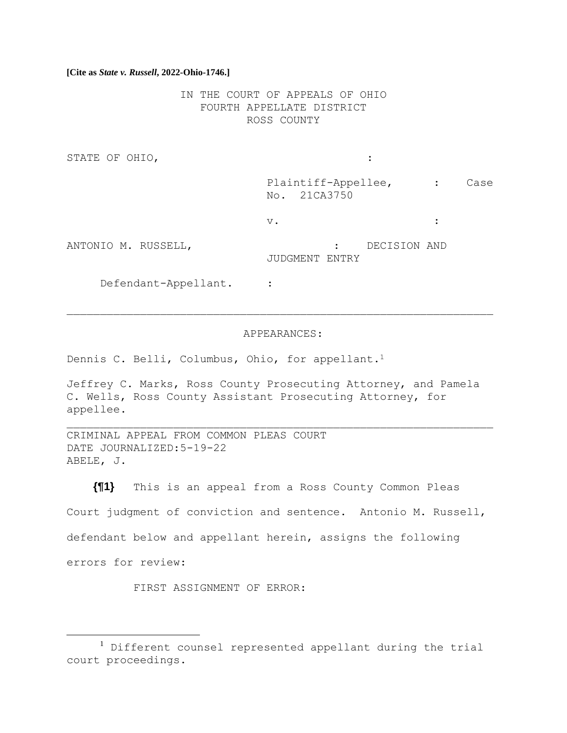IN THE COURT OF APPEALS OF OHIO FOURTH APPELLATE DISTRICT ROSS COUNTY

STATE OF OHIO,  $\qquad \qquad :\qquad \qquad$ 

Plaintiff-Appellee, : Case No. 21CA3750

 $\vee$ .  $\qquad \qquad$  :

ANTONIO M. RUSSELL, : DECISION AND

JUDGMENT ENTRY

Defendant-Appellant. :

#### APPEARANCES:

Dennis C. Belli, Columbus, Ohio, for appellant.<sup>1</sup>

Jeffrey C. Marks, Ross County Prosecuting Attorney, and Pamela C. Wells, Ross County Assistant Prosecuting Attorney, for appellee.

CRIMINAL APPEAL FROM COMMON PLEAS COURT DATE JOURNALIZED:5-19-22 ABELE, J.

**{¶1}** This is an appeal from a Ross County Common Pleas Court judgment of conviction and sentence. Antonio M. Russell, defendant below and appellant herein, assigns the following errors for review:

FIRST ASSIGNMENT OF ERROR:

<sup>1</sup> Different counsel represented appellant during the trial court proceedings.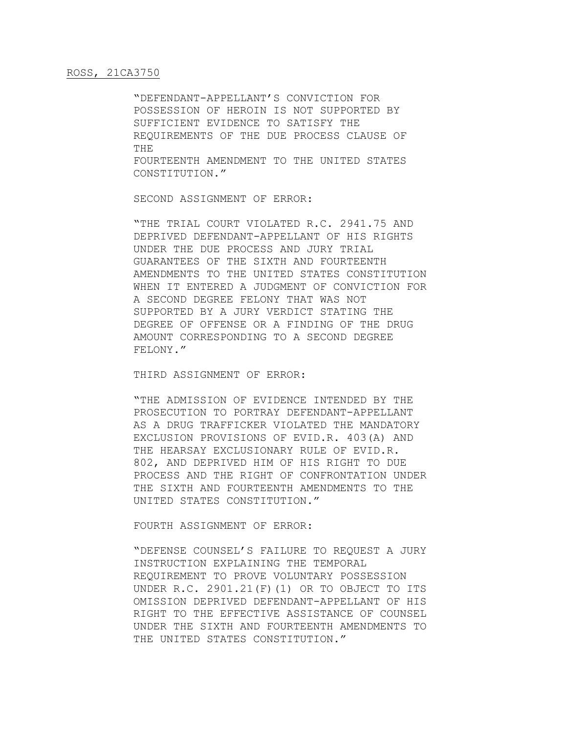"DEFENDANT-APPELLANT'S CONVICTION FOR POSSESSION OF HEROIN IS NOT SUPPORTED BY SUFFICIENT EVIDENCE TO SATISFY THE REQUIREMENTS OF THE DUE PROCESS CLAUSE OF THE FOURTEENTH AMENDMENT TO THE UNITED STATES CONSTITUTION."

SECOND ASSIGNMENT OF ERROR:

"THE TRIAL COURT VIOLATED R.C. 2941.75 AND DEPRIVED DEFENDANT-APPELLANT OF HIS RIGHTS UNDER THE DUE PROCESS AND JURY TRIAL GUARANTEES OF THE SIXTH AND FOURTEENTH AMENDMENTS TO THE UNITED STATES CONSTITUTION WHEN IT ENTERED A JUDGMENT OF CONVICTION FOR A SECOND DEGREE FELONY THAT WAS NOT SUPPORTED BY A JURY VERDICT STATING THE DEGREE OF OFFENSE OR A FINDING OF THE DRUG AMOUNT CORRESPONDING TO A SECOND DEGREE FELONY."

THIRD ASSIGNMENT OF ERROR:

"THE ADMISSION OF EVIDENCE INTENDED BY THE PROSECUTION TO PORTRAY DEFENDANT-APPELLANT AS A DRUG TRAFFICKER VIOLATED THE MANDATORY EXCLUSION PROVISIONS OF EVID.R. 403(A) AND THE HEARSAY EXCLUSIONARY RULE OF EVID.R. 802, AND DEPRIVED HIM OF HIS RIGHT TO DUE PROCESS AND THE RIGHT OF CONFRONTATION UNDER THE SIXTH AND FOURTEENTH AMENDMENTS TO THE UNITED STATES CONSTITUTION."

FOURTH ASSIGNMENT OF ERROR:

"DEFENSE COUNSEL'S FAILURE TO REQUEST A JURY INSTRUCTION EXPLAINING THE TEMPORAL REQUIREMENT TO PROVE VOLUNTARY POSSESSION UNDER R.C. 2901.21(F)(1) OR TO OBJECT TO ITS OMISSION DEPRIVED DEFENDANT-APPELLANT OF HIS RIGHT TO THE EFFECTIVE ASSISTANCE OF COUNSEL UNDER THE SIXTH AND FOURTEENTH AMENDMENTS TO THE UNITED STATES CONSTITUTION."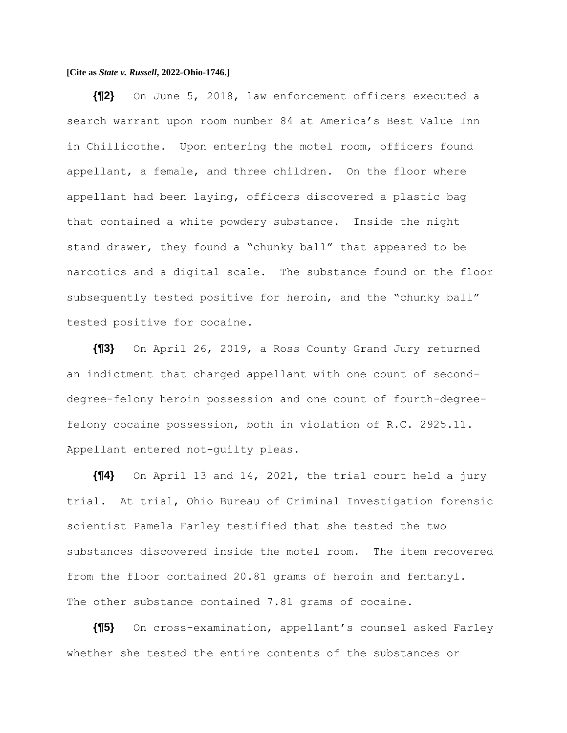**{¶2}** On June 5, 2018, law enforcement officers executed a search warrant upon room number 84 at America's Best Value Inn in Chillicothe. Upon entering the motel room, officers found appellant, a female, and three children. On the floor where appellant had been laying, officers discovered a plastic bag that contained a white powdery substance. Inside the night stand drawer, they found a "chunky ball" that appeared to be narcotics and a digital scale. The substance found on the floor subsequently tested positive for heroin, and the "chunky ball" tested positive for cocaine.

**{¶3}** On April 26, 2019, a Ross County Grand Jury returned an indictment that charged appellant with one count of seconddegree-felony heroin possession and one count of fourth-degreefelony cocaine possession, both in violation of R.C. 2925.11. Appellant entered not-guilty pleas.

**{¶4}** On April 13 and 14, 2021, the trial court held a jury trial. At trial, Ohio Bureau of Criminal Investigation forensic scientist Pamela Farley testified that she tested the two substances discovered inside the motel room. The item recovered from the floor contained 20.81 grams of heroin and fentanyl. The other substance contained 7.81 grams of cocaine.

**{¶5}** On cross-examination, appellant's counsel asked Farley whether she tested the entire contents of the substances or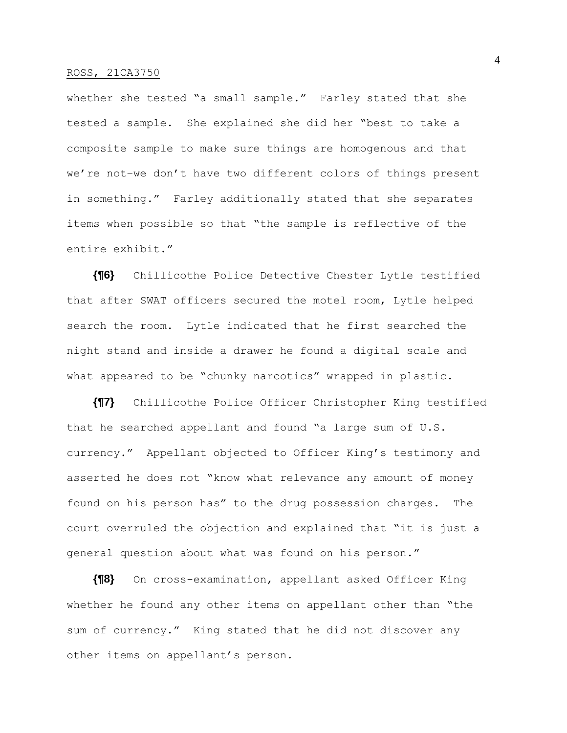whether she tested "a small sample." Farley stated that she tested a sample. She explained she did her "best to take a composite sample to make sure things are homogenous and that we're not–we don't have two different colors of things present in something." Farley additionally stated that she separates items when possible so that "the sample is reflective of the entire exhibit."

**{¶6}** Chillicothe Police Detective Chester Lytle testified that after SWAT officers secured the motel room, Lytle helped search the room. Lytle indicated that he first searched the night stand and inside a drawer he found a digital scale and what appeared to be "chunky narcotics" wrapped in plastic.

**{¶7}** Chillicothe Police Officer Christopher King testified that he searched appellant and found "a large sum of U.S. currency." Appellant objected to Officer King's testimony and asserted he does not "know what relevance any amount of money found on his person has" to the drug possession charges. The court overruled the objection and explained that "it is just a general question about what was found on his person."

**{¶8}** On cross-examination, appellant asked Officer King whether he found any other items on appellant other than "the sum of currency." King stated that he did not discover any other items on appellant's person.

4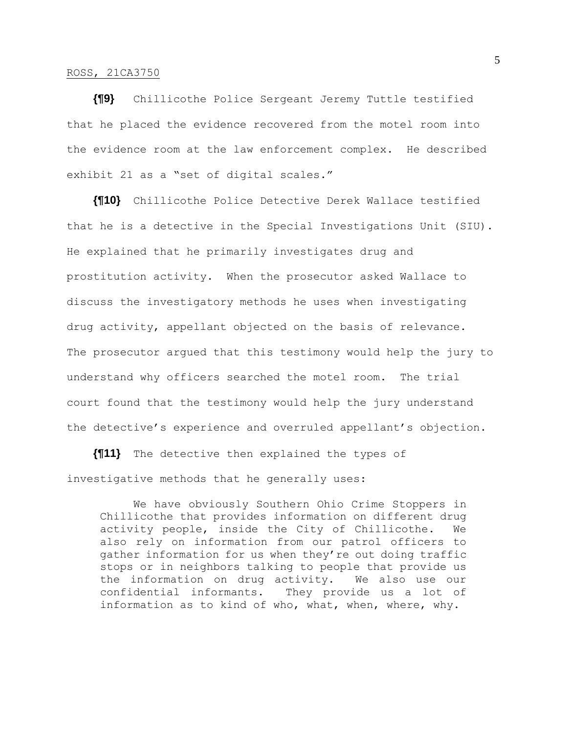**{¶9}** Chillicothe Police Sergeant Jeremy Tuttle testified that he placed the evidence recovered from the motel room into the evidence room at the law enforcement complex. He described exhibit 21 as a "set of digital scales."

**{¶10}** Chillicothe Police Detective Derek Wallace testified that he is a detective in the Special Investigations Unit (SIU). He explained that he primarily investigates drug and prostitution activity. When the prosecutor asked Wallace to discuss the investigatory methods he uses when investigating drug activity, appellant objected on the basis of relevance. The prosecutor argued that this testimony would help the jury to understand why officers searched the motel room. The trial court found that the testimony would help the jury understand the detective's experience and overruled appellant's objection.

**{¶11}** The detective then explained the types of investigative methods that he generally uses:

We have obviously Southern Ohio Crime Stoppers in Chillicothe that provides information on different drug activity people, inside the City of Chillicothe. We also rely on information from our patrol officers to gather information for us when they're out doing traffic stops or in neighbors talking to people that provide us the information on drug activity. We also use our confidential informants. They provide us a lot of information as to kind of who, what, when, where, why.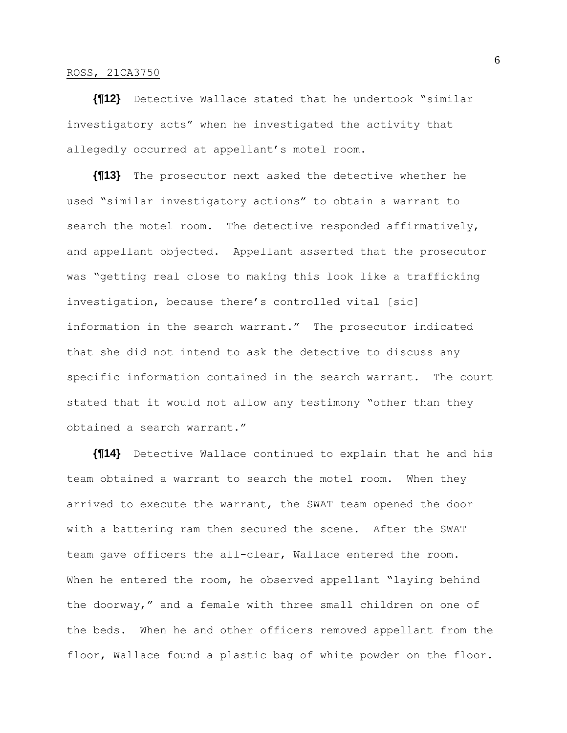**{¶12}** Detective Wallace stated that he undertook "similar investigatory acts" when he investigated the activity that allegedly occurred at appellant's motel room.

**{¶13}** The prosecutor next asked the detective whether he used "similar investigatory actions" to obtain a warrant to search the motel room. The detective responded affirmatively, and appellant objected. Appellant asserted that the prosecutor was "getting real close to making this look like a trafficking investigation, because there's controlled vital [sic] information in the search warrant." The prosecutor indicated that she did not intend to ask the detective to discuss any specific information contained in the search warrant. The court stated that it would not allow any testimony "other than they obtained a search warrant."

**{¶14}** Detective Wallace continued to explain that he and his team obtained a warrant to search the motel room. When they arrived to execute the warrant, the SWAT team opened the door with a battering ram then secured the scene. After the SWAT team gave officers the all-clear, Wallace entered the room. When he entered the room, he observed appellant "laying behind the doorway," and a female with three small children on one of the beds. When he and other officers removed appellant from the floor, Wallace found a plastic bag of white powder on the floor.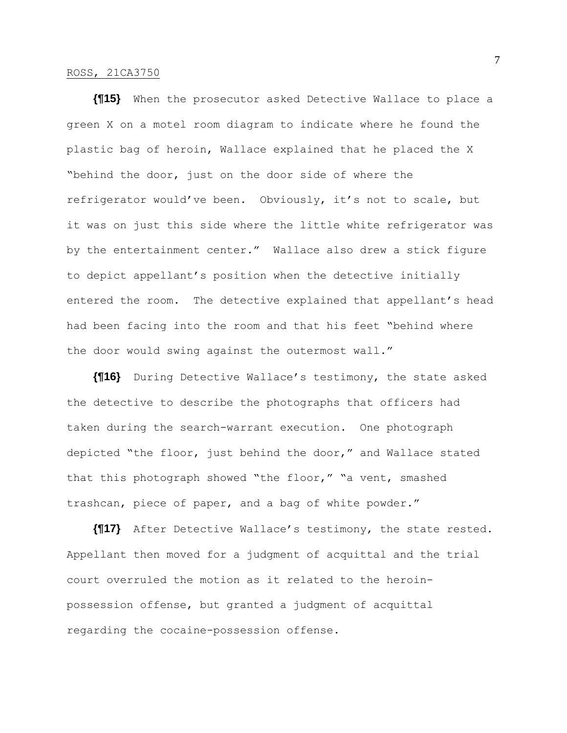**{¶15}** When the prosecutor asked Detective Wallace to place a green X on a motel room diagram to indicate where he found the plastic bag of heroin, Wallace explained that he placed the X "behind the door, just on the door side of where the refrigerator would've been. Obviously, it's not to scale, but it was on just this side where the little white refrigerator was by the entertainment center." Wallace also drew a stick figure to depict appellant's position when the detective initially entered the room. The detective explained that appellant's head had been facing into the room and that his feet "behind where the door would swing against the outermost wall."

**{¶16}** During Detective Wallace's testimony, the state asked the detective to describe the photographs that officers had taken during the search-warrant execution. One photograph depicted "the floor, just behind the door," and Wallace stated that this photograph showed "the floor," "a vent, smashed trashcan, piece of paper, and a bag of white powder."

**{¶17}** After Detective Wallace's testimony, the state rested. Appellant then moved for a judgment of acquittal and the trial court overruled the motion as it related to the heroinpossession offense, but granted a judgment of acquittal regarding the cocaine-possession offense.

7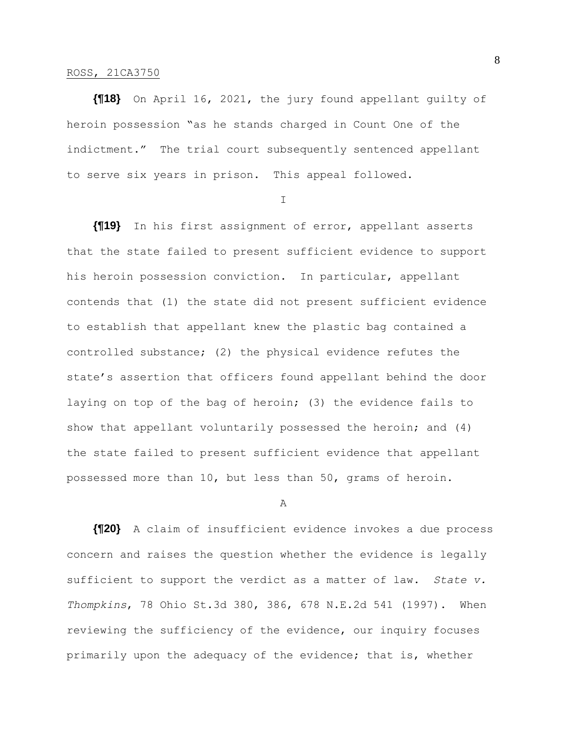**{¶18}** On April 16, 2021, the jury found appellant guilty of heroin possession "as he stands charged in Count One of the indictment." The trial court subsequently sentenced appellant to serve six years in prison. This appeal followed.

I

**{¶19}** In his first assignment of error, appellant asserts that the state failed to present sufficient evidence to support his heroin possession conviction. In particular, appellant contends that (1) the state did not present sufficient evidence to establish that appellant knew the plastic bag contained a controlled substance; (2) the physical evidence refutes the state's assertion that officers found appellant behind the door laying on top of the bag of heroin; (3) the evidence fails to show that appellant voluntarily possessed the heroin; and (4) the state failed to present sufficient evidence that appellant possessed more than 10, but less than 50, grams of heroin.

#### A

**{¶20}** A claim of insufficient evidence invokes a due process concern and raises the question whether the evidence is legally sufficient to support the verdict as a matter of law. *State v. Thompkins*, 78 Ohio St.3d 380, 386, 678 N.E.2d 541 (1997). When reviewing the sufficiency of the evidence, our inquiry focuses primarily upon the adequacy of the evidence; that is, whether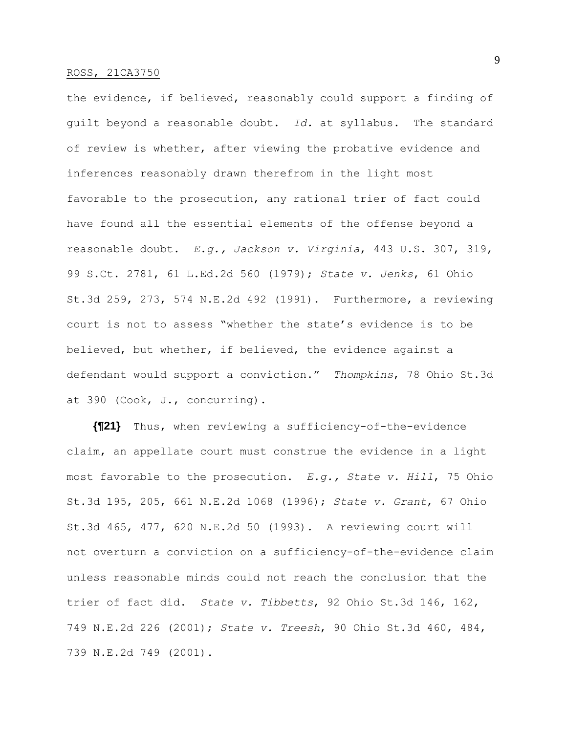the evidence, if believed, reasonably could support a finding of guilt beyond a reasonable doubt. *Id.* at syllabus. The standard of review is whether, after viewing the probative evidence and inferences reasonably drawn therefrom in the light most favorable to the prosecution, any rational trier of fact could have found all the essential elements of the offense beyond a reasonable doubt. *E.g., Jackson v. Virginia*, 443 U.S. 307, 319, 99 S.Ct. 2781, 61 L.Ed.2d 560 (1979); *State v. Jenks*, 61 Ohio St.3d 259, 273, 574 N.E.2d 492 (1991). Furthermore, a reviewing court is not to assess "whether the state's evidence is to be believed, but whether, if believed, the evidence against a defendant would support a conviction." *Thompkins*, 78 Ohio St.3d at 390 (Cook, J., concurring).

**{¶21}** Thus, when reviewing a sufficiency-of-the-evidence claim, an appellate court must construe the evidence in a light most favorable to the prosecution. *E.g., State v. Hill*, 75 Ohio St.3d 195, 205, 661 N.E.2d 1068 (1996); *State v. Grant*, 67 Ohio St.3d 465, 477, 620 N.E.2d 50 (1993). A reviewing court will not overturn a conviction on a sufficiency-of-the-evidence claim unless reasonable minds could not reach the conclusion that the trier of fact did. *State v. Tibbetts*, 92 Ohio St.3d 146, 162, 749 N.E.2d 226 (2001); *State v. Treesh*, 90 Ohio St.3d 460, 484, 739 N.E.2d 749 (2001).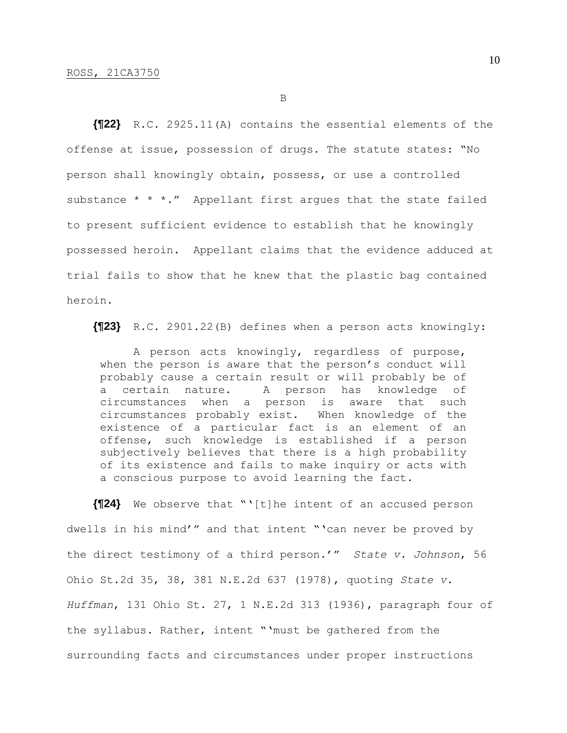B

**{¶22}** R.C. 2925.11(A) contains the essential elements of the offense at issue, possession of drugs. The statute states: "No person shall knowingly obtain, possess, or use a controlled substance  $* * *$ ." Appellant first argues that the state failed to present sufficient evidence to establish that he knowingly possessed heroin. Appellant claims that the evidence adduced at trial fails to show that he knew that the plastic bag contained heroin.

**{¶23}** R.C. 2901.22(B) defines when a person acts knowingly:

A person acts knowingly, regardless of purpose, when the person is aware that the person's conduct will probably cause a certain result or will probably be of a certain nature. A person has knowledge of circumstances when a person is aware that such circumstances probably exist. When knowledge of the existence of a particular fact is an element of an offense, such knowledge is established if a person subjectively believes that there is a high probability of its existence and fails to make inquiry or acts with a conscious purpose to avoid learning the fact.

**{¶24}** We observe that "'[t]he intent of an accused person dwells in his mind'" and that intent "'can never be proved by the direct testimony of a third person.'" *State v. Johnson*, 56 Ohio St.2d 35, 38, 381 N.E.2d 637 (1978), quoting *State v. Huffman*, 131 Ohio St. 27, 1 N.E.2d 313 (1936), paragraph four of the syllabus. Rather, intent "'must be gathered from the surrounding facts and circumstances under proper instructions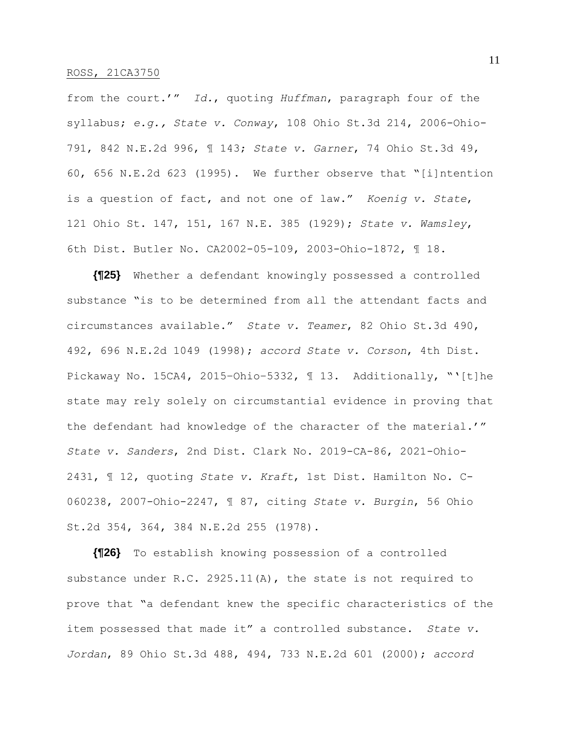from the court.'" *Id.*, quoting *Huffman*, paragraph four of the syllabus; *e.g., State v. Conway*, 108 Ohio St.3d 214, 2006-Ohio-791, 842 N.E.2d 996, ¶ 143; *State v. Garner*, 74 Ohio St.3d 49, 60, 656 N.E.2d 623 (1995). We further observe that "[i]ntention is a question of fact, and not one of law." *Koenig v. State*, 121 Ohio St. 147, 151, 167 N.E. 385 (1929); *State v. Wamsley*, 6th Dist. Butler No. CA2002-05-109, 2003-Ohio-1872, ¶ 18.

**{¶25}** Whether a defendant knowingly possessed a controlled substance "is to be determined from all the attendant facts and circumstances available." *State v. Teamer*, 82 Ohio St.3d 490, 492, 696 N.E.2d 1049 (1998); *accord State v. Corson*, 4th Dist. Pickaway No. 15CA4, 2015–Ohio–5332, ¶ 13. Additionally, "'[t]he state may rely solely on circumstantial evidence in proving that the defendant had knowledge of the character of the material.'" *State v. Sanders*, 2nd Dist. Clark No. 2019-CA-86, 2021-Ohio-2431, ¶ 12, quoting *State v. Kraft*, 1st Dist. Hamilton No. C-060238, 2007-Ohio-2247, ¶ 87, citing *State v. Burgin*, 56 Ohio St.2d 354, 364, 384 N.E.2d 255 (1978).

**{¶26}** To establish knowing possession of a controlled substance under R.C. 2925.11(A), the state is not required to prove that "a defendant knew the specific characteristics of the item possessed that made it" a controlled substance. *State v. Jordan*, 89 Ohio St.3d 488, 494, 733 N.E.2d 601 (2000); *accord*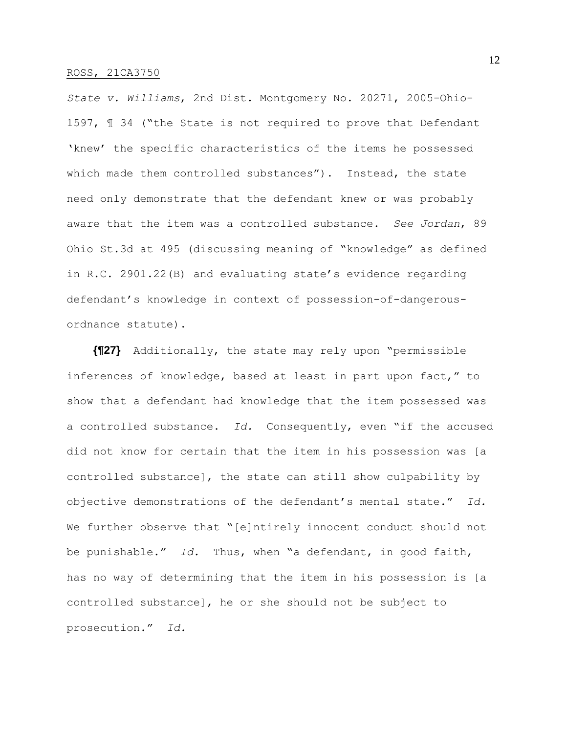*State v. Williams*, 2nd Dist. Montgomery No. 20271, 2005-Ohio-1597, ¶ 34 ("the State is not required to prove that Defendant 'knew' the specific characteristics of the items he possessed which made them controlled substances"). Instead, the state need only demonstrate that the defendant knew or was probably aware that the item was a controlled substance. *See Jordan*, 89 Ohio St.3d at 495 (discussing meaning of "knowledge" as defined in R.C. 2901.22(B) and evaluating state's evidence regarding defendant's knowledge in context of possession-of-dangerousordnance statute).

**{¶27}** Additionally, the state may rely upon "permissible inferences of knowledge, based at least in part upon fact," to show that a defendant had knowledge that the item possessed was a controlled substance. *Id.* Consequently, even "if the accused did not know for certain that the item in his possession was [a controlled substance], the state can still show culpability by objective demonstrations of the defendant's mental state." *Id.* We further observe that "[e]ntirely innocent conduct should not be punishable." *Id.* Thus, when "a defendant, in good faith, has no way of determining that the item in his possession is [a controlled substance], he or she should not be subject to prosecution." *Id.*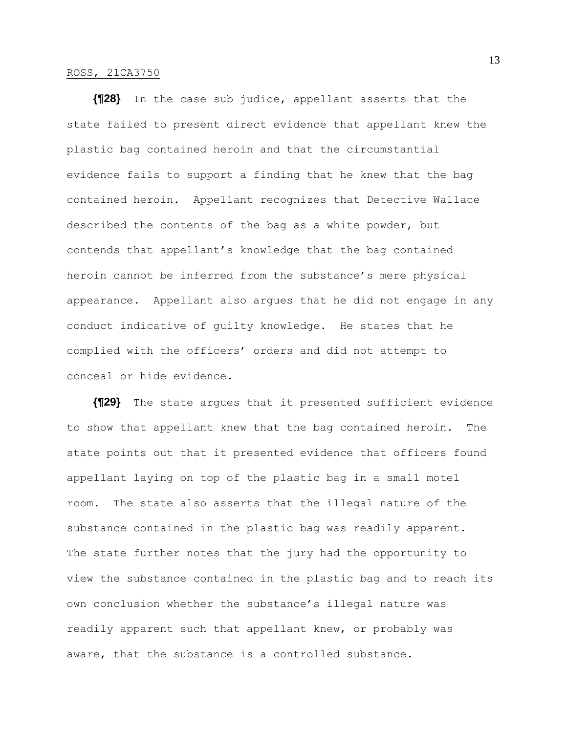**{¶28}** In the case sub judice, appellant asserts that the state failed to present direct evidence that appellant knew the plastic bag contained heroin and that the circumstantial evidence fails to support a finding that he knew that the bag contained heroin. Appellant recognizes that Detective Wallace described the contents of the bag as a white powder, but contends that appellant's knowledge that the bag contained heroin cannot be inferred from the substance's mere physical appearance. Appellant also argues that he did not engage in any conduct indicative of guilty knowledge. He states that he complied with the officers' orders and did not attempt to conceal or hide evidence.

**{¶29}** The state argues that it presented sufficient evidence to show that appellant knew that the bag contained heroin. The state points out that it presented evidence that officers found appellant laying on top of the plastic bag in a small motel room. The state also asserts that the illegal nature of the substance contained in the plastic bag was readily apparent. The state further notes that the jury had the opportunity to view the substance contained in the plastic bag and to reach its own conclusion whether the substance's illegal nature was readily apparent such that appellant knew, or probably was aware, that the substance is a controlled substance.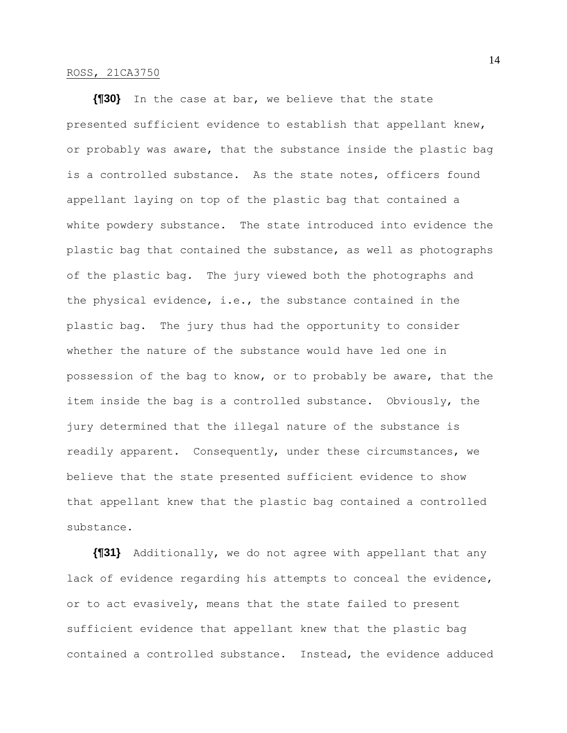**{¶30}** In the case at bar, we believe that the state presented sufficient evidence to establish that appellant knew, or probably was aware, that the substance inside the plastic bag is a controlled substance. As the state notes, officers found appellant laying on top of the plastic bag that contained a white powdery substance. The state introduced into evidence the plastic bag that contained the substance, as well as photographs of the plastic bag. The jury viewed both the photographs and the physical evidence, i.e., the substance contained in the plastic bag. The jury thus had the opportunity to consider whether the nature of the substance would have led one in possession of the bag to know, or to probably be aware, that the item inside the bag is a controlled substance. Obviously, the jury determined that the illegal nature of the substance is readily apparent. Consequently, under these circumstances, we believe that the state presented sufficient evidence to show that appellant knew that the plastic bag contained a controlled substance.

**{¶31}** Additionally, we do not agree with appellant that any lack of evidence regarding his attempts to conceal the evidence, or to act evasively, means that the state failed to present sufficient evidence that appellant knew that the plastic bag contained a controlled substance. Instead, the evidence adduced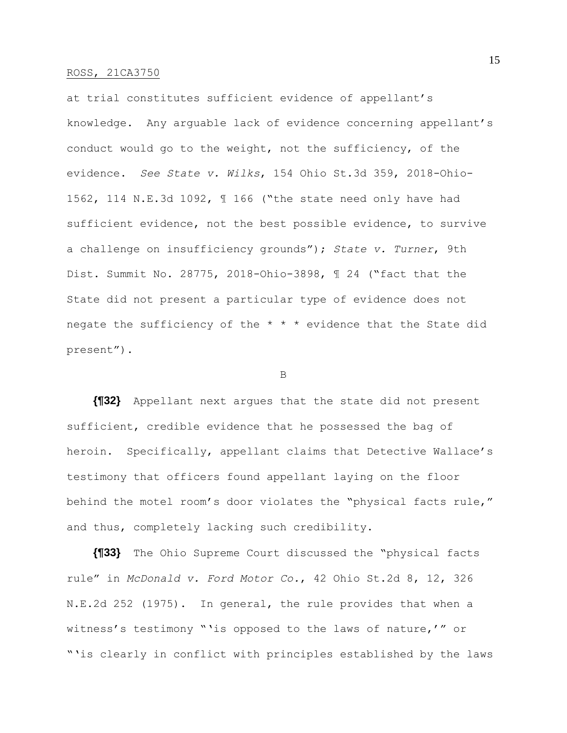at trial constitutes sufficient evidence of appellant's knowledge. Any arguable lack of evidence concerning appellant's conduct would go to the weight, not the sufficiency, of the evidence. *See State v. Wilks*, 154 Ohio St.3d 359, 2018-Ohio-1562, 114 N.E.3d 1092, ¶ 166 ("the state need only have had sufficient evidence, not the best possible evidence, to survive a challenge on insufficiency grounds"); *State v. Turner*, 9th Dist. Summit No. 28775, 2018-Ohio-3898, ¶ 24 ("fact that the State did not present a particular type of evidence does not negate the sufficiency of the \* \* \* evidence that the State did present").

B

**{¶32}** Appellant next argues that the state did not present sufficient, credible evidence that he possessed the bag of heroin. Specifically, appellant claims that Detective Wallace's testimony that officers found appellant laying on the floor behind the motel room's door violates the "physical facts rule," and thus, completely lacking such credibility.

**{¶33}** The Ohio Supreme Court discussed the "physical facts rule" in *McDonald v. Ford Motor Co.*, 42 Ohio St.2d 8, 12, 326 N.E.2d 252 (1975). In general, the rule provides that when a witness's testimony "'is opposed to the laws of nature,'" or "'is clearly in conflict with principles established by the laws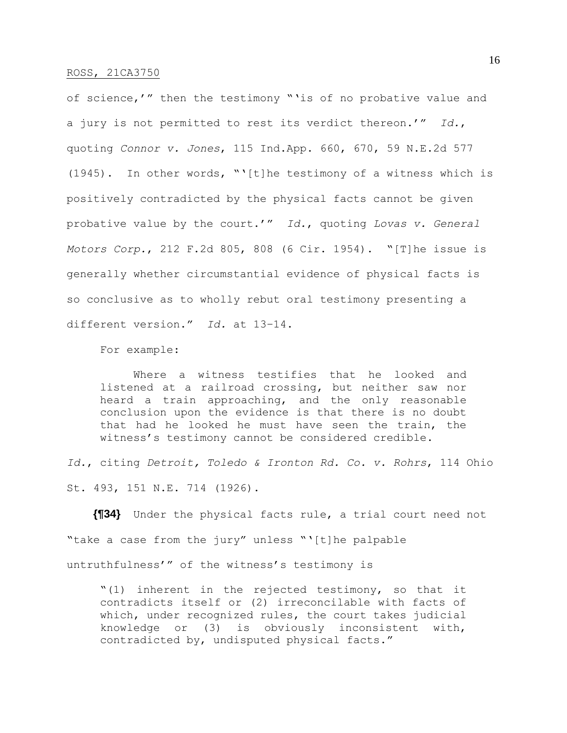of science,'" then the testimony "'is of no probative value and a jury is not permitted to rest its verdict thereon.'" *Id.*, quoting *Connor v. Jones*, 115 Ind.App. 660, 670, 59 N.E.2d 577 (1945). In other words, "'[t]he testimony of a witness which is positively contradicted by the physical facts cannot be given probative value by the court.'" *Id.*, quoting *Lovas v. General Motors Corp.*, 212 F.2d 805, 808 (6 Cir. 1954). "[T]he issue is generally whether circumstantial evidence of physical facts is so conclusive as to wholly rebut oral testimony presenting a different version." *Id.* at 13–14.

For example:

Where a witness testifies that he looked and listened at a railroad crossing, but neither saw nor heard a train approaching, and the only reasonable conclusion upon the evidence is that there is no doubt that had he looked he must have seen the train, the witness's testimony cannot be considered credible.

*Id.*, citing *Detroit, Toledo & Ironton Rd. Co. v. Rohrs*, 114 Ohio St. 493, 151 N.E. 714 (1926).

**{¶34}** Under the physical facts rule, a trial court need not "take a case from the jury" unless "'[t]he palpable untruthfulness'" of the witness's testimony is

"(1) inherent in the rejected testimony, so that it contradicts itself or (2) irreconcilable with facts of which, under recognized rules, the court takes judicial knowledge or (3) is obviously inconsistent with, contradicted by, undisputed physical facts."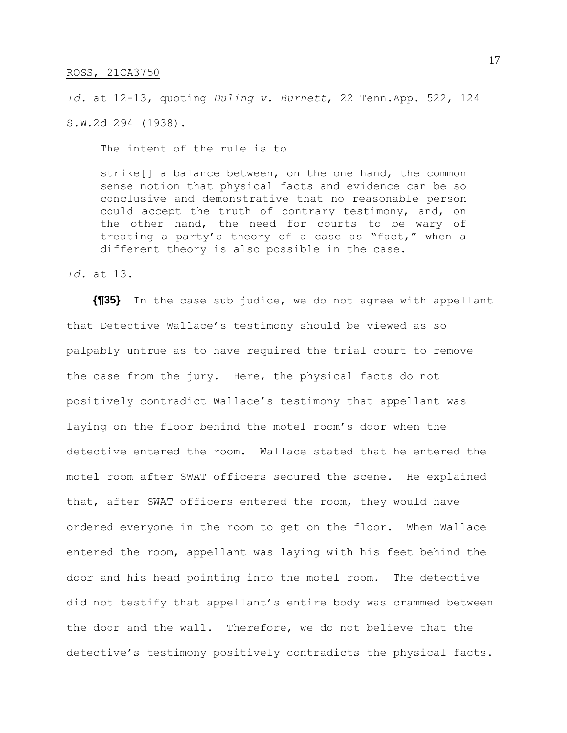*Id.* at 12-13, quoting *Duling v. Burnett*, 22 Tenn.App. 522, 124 S.W.2d 294 (1938).

The intent of the rule is to

strike[] a balance between, on the one hand, the common sense notion that physical facts and evidence can be so conclusive and demonstrative that no reasonable person could accept the truth of contrary testimony, and, on the other hand, the need for courts to be wary of treating a party's theory of a case as "fact," when a different theory is also possible in the case.

*Id.* at 13.

**{¶35}** In the case sub judice, we do not agree with appellant that Detective Wallace's testimony should be viewed as so palpably untrue as to have required the trial court to remove the case from the jury. Here, the physical facts do not positively contradict Wallace's testimony that appellant was laying on the floor behind the motel room's door when the detective entered the room. Wallace stated that he entered the motel room after SWAT officers secured the scene. He explained that, after SWAT officers entered the room, they would have ordered everyone in the room to get on the floor. When Wallace entered the room, appellant was laying with his feet behind the door and his head pointing into the motel room. The detective did not testify that appellant's entire body was crammed between the door and the wall. Therefore, we do not believe that the detective's testimony positively contradicts the physical facts.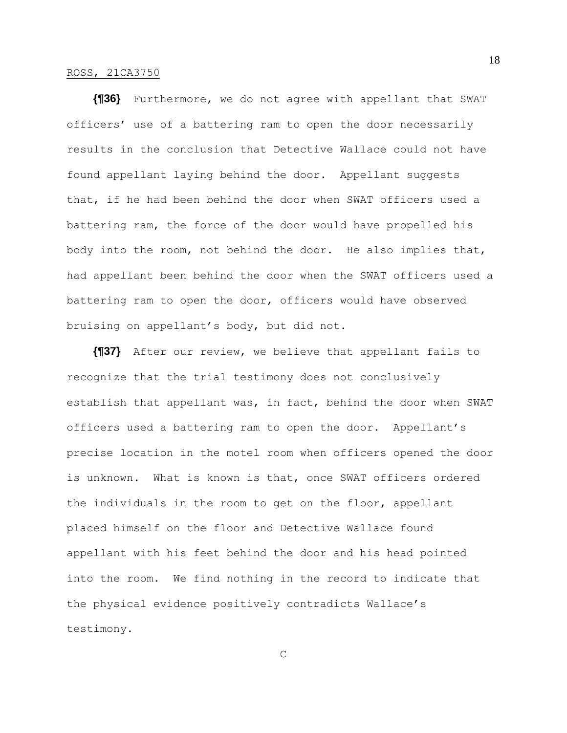**{¶36}** Furthermore, we do not agree with appellant that SWAT officers' use of a battering ram to open the door necessarily results in the conclusion that Detective Wallace could not have found appellant laying behind the door. Appellant suggests that, if he had been behind the door when SWAT officers used a battering ram, the force of the door would have propelled his body into the room, not behind the door. He also implies that, had appellant been behind the door when the SWAT officers used a battering ram to open the door, officers would have observed bruising on appellant's body, but did not.

**{¶37}** After our review, we believe that appellant fails to recognize that the trial testimony does not conclusively establish that appellant was, in fact, behind the door when SWAT officers used a battering ram to open the door. Appellant's precise location in the motel room when officers opened the door is unknown. What is known is that, once SWAT officers ordered the individuals in the room to get on the floor, appellant placed himself on the floor and Detective Wallace found appellant with his feet behind the door and his head pointed into the room. We find nothing in the record to indicate that the physical evidence positively contradicts Wallace's testimony.

C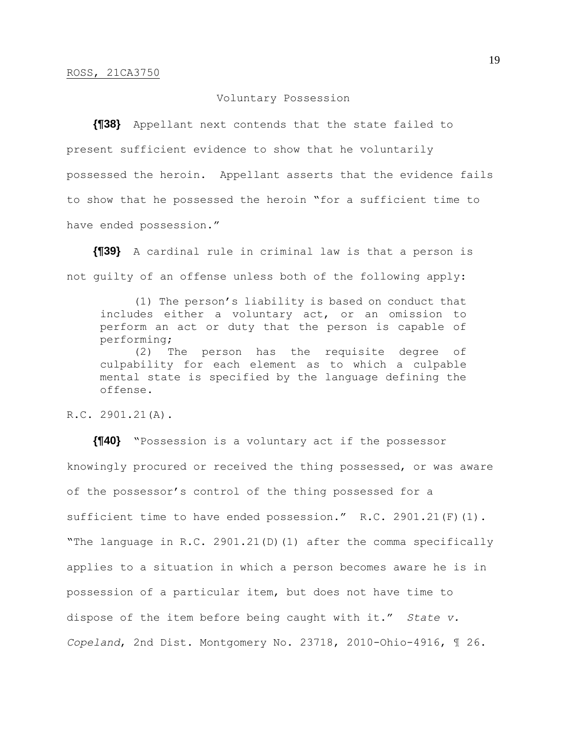### Voluntary Possession

**{¶38}** Appellant next contends that the state failed to present sufficient evidence to show that he voluntarily possessed the heroin. Appellant asserts that the evidence fails to show that he possessed the heroin "for a sufficient time to have ended possession."

**{¶39}** A cardinal rule in criminal law is that a person is not guilty of an offense unless both of the following apply:

(1) The person's liability is based on conduct that includes either a voluntary act, or an omission to perform an act or duty that the person is capable of performing;

(2) The person has the requisite degree of culpability for each element as to which a culpable mental state is specified by the language defining the offense.

R.C. 2901.21(A).

**{¶40}** "Possession is a voluntary act if the possessor knowingly procured or received the thing possessed, or was aware of the possessor's control of the thing possessed for a sufficient time to have ended possession." R.C. 2901.21(F)(1). "The language in R.C. 2901.21(D)(1) after the comma specifically applies to a situation in which a person becomes aware he is in possession of a particular item, but does not have time to dispose of the item before being caught with it." *State v. Copeland*, 2nd Dist. Montgomery No. 23718, 2010-Ohio-4916, ¶ 26.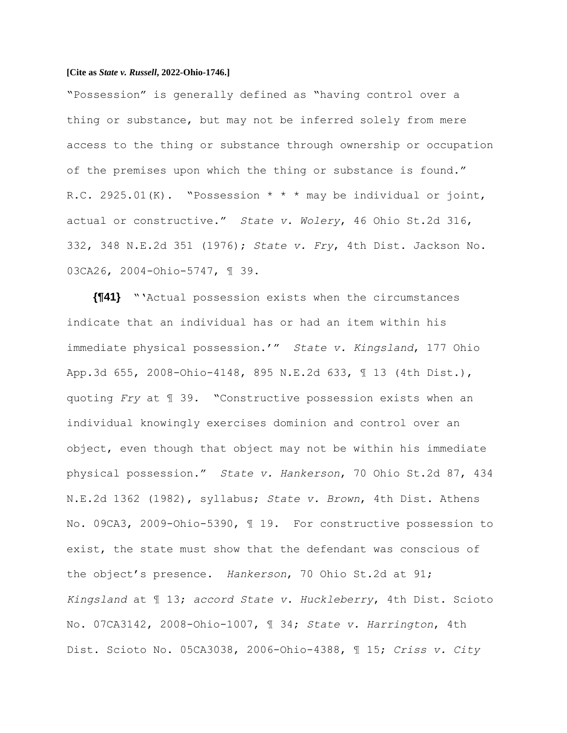"Possession" is generally defined as "having control over a thing or substance, but may not be inferred solely from mere access to the thing or substance through ownership or occupation of the premises upon which the thing or substance is found." R.C. 2925.01(K). "Possession \* \* \* may be individual or joint, actual or constructive." *State v. Wolery*, 46 Ohio St.2d 316, 332, 348 N.E.2d 351 (1976); *State v. Fry*, 4th Dist. Jackson No. 03CA26, 2004-Ohio-5747, ¶ 39.

**{¶41}** "'Actual possession exists when the circumstances indicate that an individual has or had an item within his immediate physical possession.'" *State v. Kingsland*, 177 Ohio App.3d 655, 2008-Ohio-4148, 895 N.E.2d 633, ¶ 13 (4th Dist.), quoting *Fry* at ¶ 39. "Constructive possession exists when an individual knowingly exercises dominion and control over an object, even though that object may not be within his immediate physical possession." *State v. Hankerson*, 70 Ohio St.2d 87, 434 N.E.2d 1362 (1982), syllabus; *State v. Brown*, 4th Dist. Athens No. 09CA3, 2009-Ohio-5390, ¶ 19. For constructive possession to exist, the state must show that the defendant was conscious of the object's presence. *Hankerson*, 70 Ohio St.2d at 91; *Kingsland* at ¶ 13; *accord State v. Huckleberry*, 4th Dist. Scioto No. 07CA3142, 2008-Ohio-1007, ¶ 34; *State v. Harrington*, 4th Dist. Scioto No. 05CA3038, 2006-Ohio-4388, ¶ 15; *Criss v. City*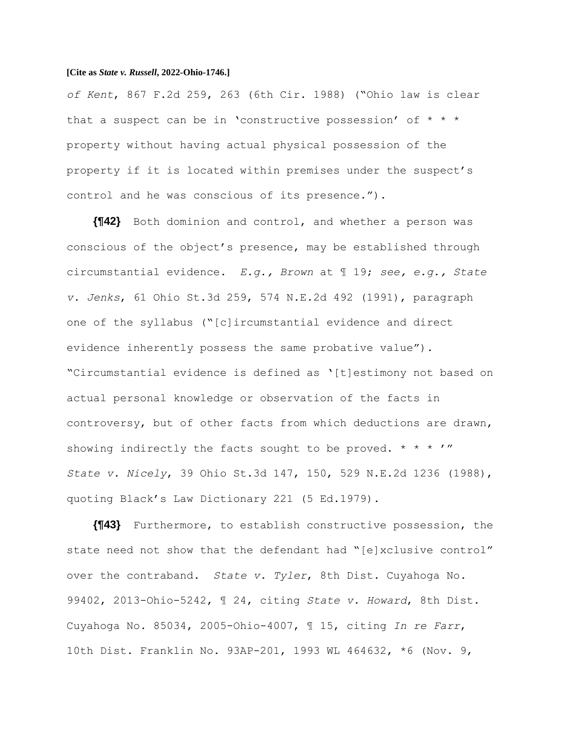*of Kent*, 867 F.2d 259, 263 (6th Cir. 1988) ("Ohio law is clear that a suspect can be in 'constructive possession' of  $* * *$ property without having actual physical possession of the property if it is located within premises under the suspect's control and he was conscious of its presence.").

**{¶42}** Both dominion and control, and whether a person was conscious of the object's presence, may be established through circumstantial evidence. *E.g., Brown* at ¶ 19; *see, e.g., State v. Jenks*, 61 Ohio St.3d 259, 574 N.E.2d 492 (1991), paragraph one of the syllabus ("[c]ircumstantial evidence and direct evidence inherently possess the same probative value"). "Circumstantial evidence is defined as '[t]estimony not based on actual personal knowledge or observation of the facts in controversy, but of other facts from which deductions are drawn, showing indirectly the facts sought to be proved. \* \* \*  $'$ *State v. Nicely*, 39 Ohio St.3d 147, 150, 529 N.E.2d 1236 (1988), quoting Black's Law Dictionary 221 (5 Ed.1979).

**{¶43}** Furthermore, to establish constructive possession, the state need not show that the defendant had "[e]xclusive control" over the contraband. *State v. Tyler*, 8th Dist. Cuyahoga No. 99402, 2013-Ohio-5242, ¶ 24, citing *State v. Howard*, 8th Dist. Cuyahoga No. 85034, 2005-Ohio-4007, ¶ 15, citing *In re Farr*, 10th Dist. Franklin No. 93AP-201, 1993 WL 464632, \*6 (Nov. 9,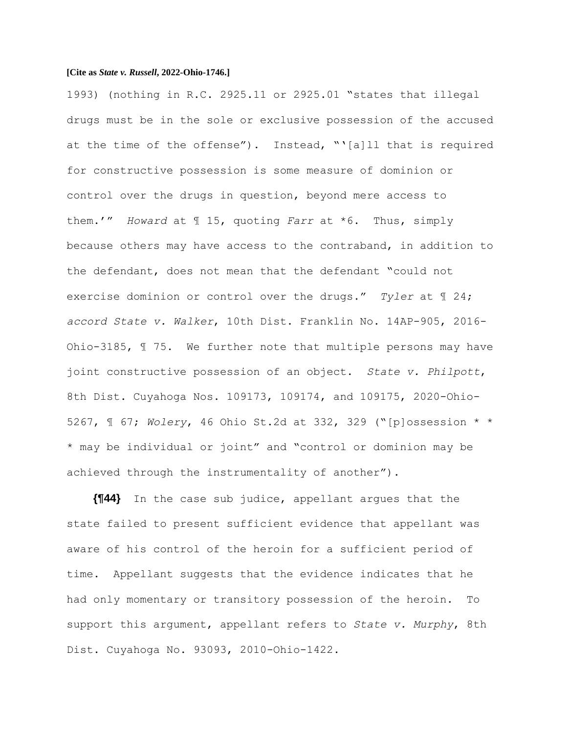1993) (nothing in R.C. 2925.11 or 2925.01 "states that illegal drugs must be in the sole or exclusive possession of the accused at the time of the offense"). Instead, "'[a]ll that is required for constructive possession is some measure of dominion or control over the drugs in question, beyond mere access to them.'" *Howard* at ¶ 15, quoting *Farr* at \*6. Thus, simply because others may have access to the contraband, in addition to the defendant, does not mean that the defendant "could not exercise dominion or control over the drugs." *Tyler* at ¶ 24; *accord State v. Walker*, 10th Dist. Franklin No. 14AP-905, 2016- Ohio-3185, ¶ 75. We further note that multiple persons may have joint constructive possession of an object. *State v. Philpott*, 8th Dist. Cuyahoga Nos. 109173, 109174, and 109175, 2020-Ohio-5267, ¶ 67; *Wolery*, 46 Ohio St.2d at 332, 329 ("[p]ossession \* \* \* may be individual or joint" and "control or dominion may be achieved through the instrumentality of another").

**{¶44}** In the case sub judice, appellant argues that the state failed to present sufficient evidence that appellant was aware of his control of the heroin for a sufficient period of time. Appellant suggests that the evidence indicates that he had only momentary or transitory possession of the heroin. To support this argument, appellant refers to *State v. Murphy*, 8th Dist. Cuyahoga No. 93093, 2010-Ohio-1422.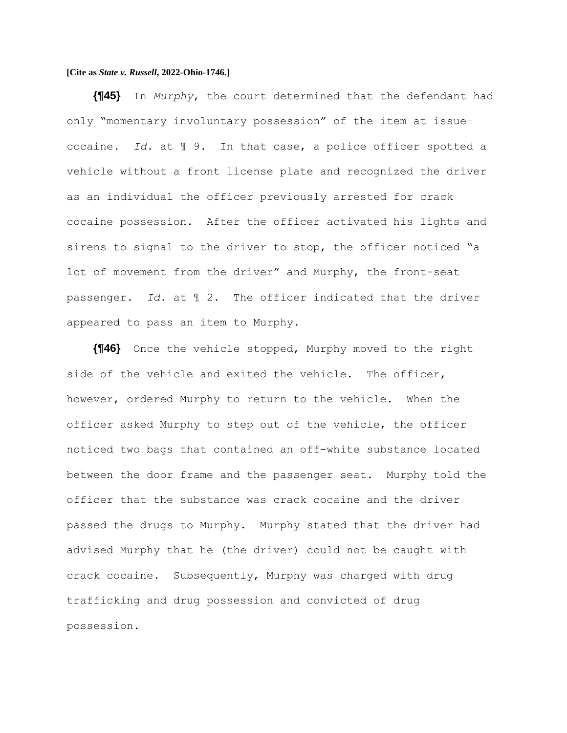**{¶45}** In *Murphy*, the court determined that the defendant had only "momentary involuntary possession" of the item at issue– cocaine. *Id.* at ¶ 9. In that case, a police officer spotted a vehicle without a front license plate and recognized the driver as an individual the officer previously arrested for crack cocaine possession. After the officer activated his lights and sirens to signal to the driver to stop, the officer noticed "a lot of movement from the driver" and Murphy, the front-seat passenger. *Id.* at ¶ 2. The officer indicated that the driver appeared to pass an item to Murphy.

**{¶46}** Once the vehicle stopped, Murphy moved to the right side of the vehicle and exited the vehicle. The officer, however, ordered Murphy to return to the vehicle. When the officer asked Murphy to step out of the vehicle, the officer noticed two bags that contained an off-white substance located between the door frame and the passenger seat. Murphy told the officer that the substance was crack cocaine and the driver passed the drugs to Murphy. Murphy stated that the driver had advised Murphy that he (the driver) could not be caught with crack cocaine. Subsequently, Murphy was charged with drug trafficking and drug possession and convicted of drug possession.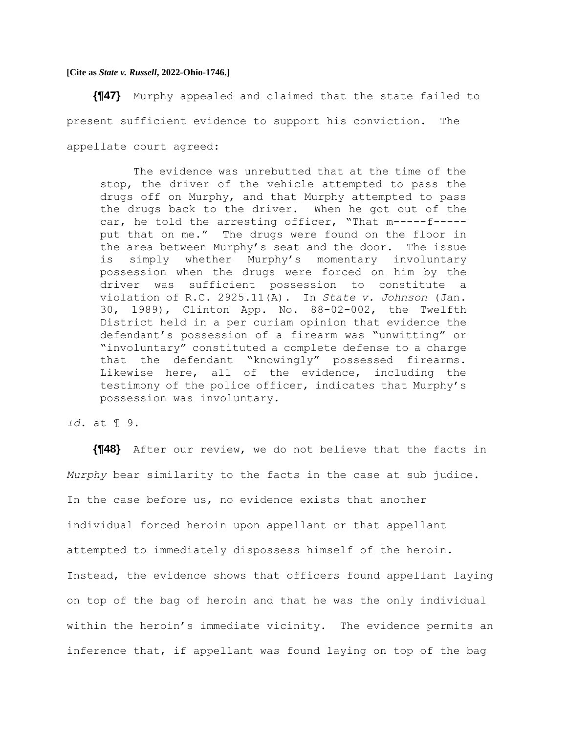**{¶47}** Murphy appealed and claimed that the state failed to present sufficient evidence to support his conviction. The appellate court agreed:

The evidence was unrebutted that at the time of the stop, the driver of the vehicle attempted to pass the drugs off on Murphy, and that Murphy attempted to pass the drugs back to the driver. When he got out of the car, he told the arresting officer, "That m-----f---- put that on me." The drugs were found on the floor in the area between Murphy's seat and the door. The issue is simply whether Murphy's momentary involuntary possession when the drugs were forced on him by the driver was sufficient possession to constitute a violation of R.C. 2925.11(A). In *State v. Johnson* (Jan. 30, 1989), Clinton App. No. 88-02-002, the Twelfth District held in a per curiam opinion that evidence the defendant's possession of a firearm was "unwitting" or "involuntary" constituted a complete defense to a charge that the defendant "knowingly" possessed firearms. Likewise here, all of the evidence, including the testimony of the police officer, indicates that Murphy's possession was involuntary.

# *Id.* at ¶ 9.

**{¶48}** After our review, we do not believe that the facts in *Murphy* bear similarity to the facts in the case at sub judice. In the case before us, no evidence exists that another individual forced heroin upon appellant or that appellant attempted to immediately dispossess himself of the heroin. Instead, the evidence shows that officers found appellant laying on top of the bag of heroin and that he was the only individual within the heroin's immediate vicinity. The evidence permits an inference that, if appellant was found laying on top of the bag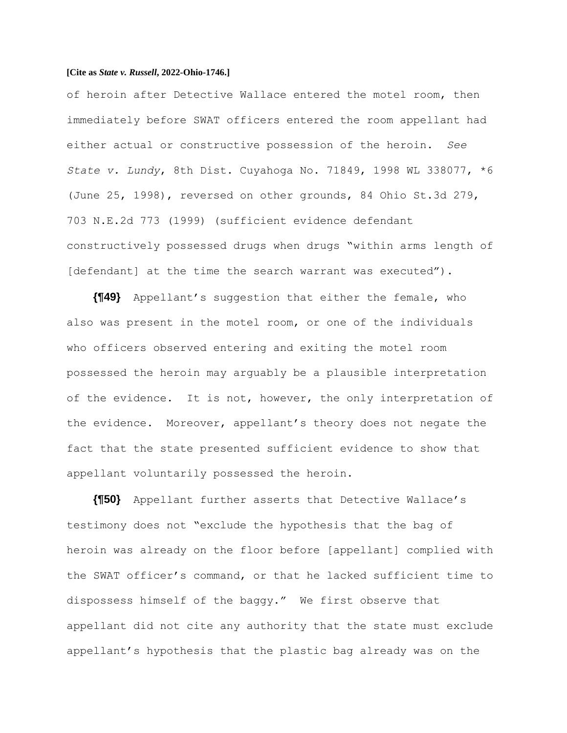of heroin after Detective Wallace entered the motel room, then immediately before SWAT officers entered the room appellant had either actual or constructive possession of the heroin. *See State v. Lundy*, 8th Dist. Cuyahoga No. 71849, 1998 WL 338077, \*6 (June 25, 1998), reversed on other grounds, 84 Ohio St.3d 279, 703 N.E.2d 773 (1999) (sufficient evidence defendant constructively possessed drugs when drugs "within arms length of [defendant] at the time the search warrant was executed").

**{¶49}** Appellant's suggestion that either the female, who also was present in the motel room, or one of the individuals who officers observed entering and exiting the motel room possessed the heroin may arguably be a plausible interpretation of the evidence. It is not, however, the only interpretation of the evidence. Moreover, appellant's theory does not negate the fact that the state presented sufficient evidence to show that appellant voluntarily possessed the heroin.

**{¶50}** Appellant further asserts that Detective Wallace's testimony does not "exclude the hypothesis that the bag of heroin was already on the floor before [appellant] complied with the SWAT officer's command, or that he lacked sufficient time to dispossess himself of the baggy." We first observe that appellant did not cite any authority that the state must exclude appellant's hypothesis that the plastic bag already was on the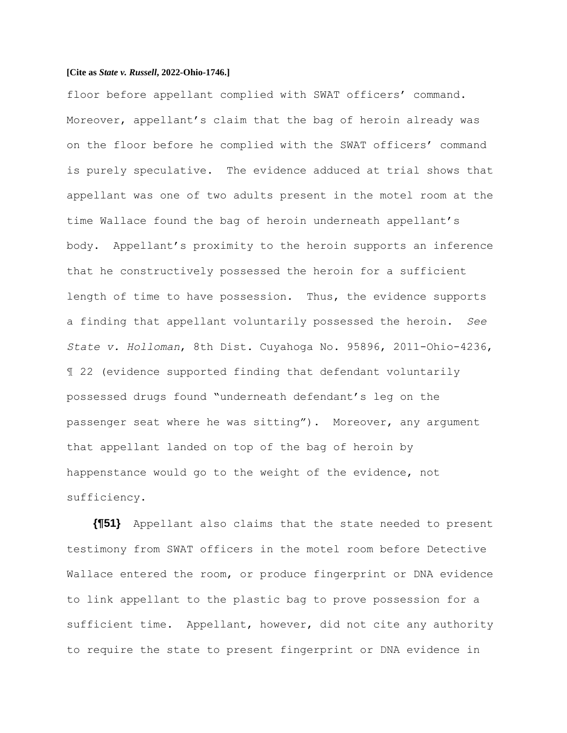floor before appellant complied with SWAT officers' command. Moreover, appellant's claim that the bag of heroin already was on the floor before he complied with the SWAT officers' command is purely speculative. The evidence adduced at trial shows that appellant was one of two adults present in the motel room at the time Wallace found the bag of heroin underneath appellant's body. Appellant's proximity to the heroin supports an inference that he constructively possessed the heroin for a sufficient length of time to have possession. Thus, the evidence supports a finding that appellant voluntarily possessed the heroin. *See State v. Holloman*, 8th Dist. Cuyahoga No. 95896, 2011-Ohio-4236, ¶ 22 (evidence supported finding that defendant voluntarily possessed drugs found "underneath defendant's leg on the passenger seat where he was sitting"). Moreover, any argument that appellant landed on top of the bag of heroin by happenstance would go to the weight of the evidence, not sufficiency.

**{¶51}** Appellant also claims that the state needed to present testimony from SWAT officers in the motel room before Detective Wallace entered the room, or produce fingerprint or DNA evidence to link appellant to the plastic bag to prove possession for a sufficient time. Appellant, however, did not cite any authority to require the state to present fingerprint or DNA evidence in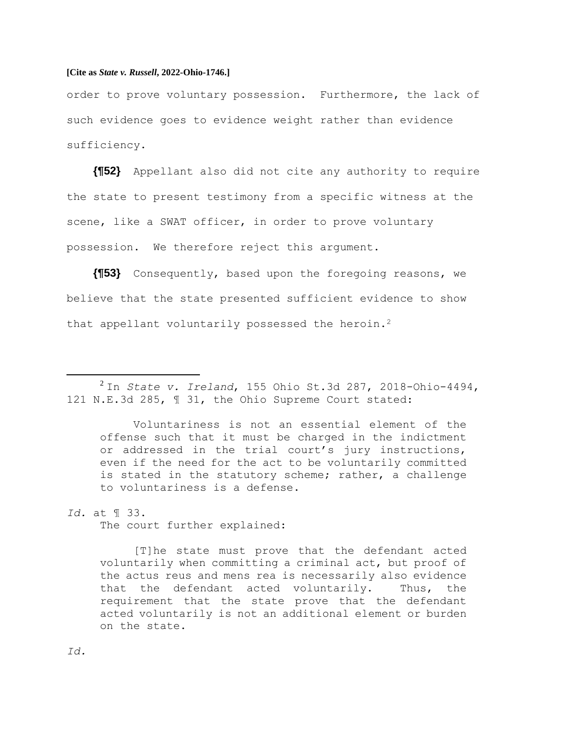order to prove voluntary possession. Furthermore, the lack of such evidence goes to evidence weight rather than evidence sufficiency.

**{¶52}** Appellant also did not cite any authority to require the state to present testimony from a specific witness at the scene, like a SWAT officer, in order to prove voluntary possession. We therefore reject this argument.

**{¶53}** Consequently, based upon the foregoing reasons, we believe that the state presented sufficient evidence to show that appellant voluntarily possessed the heroin.<sup>2</sup>

Voluntariness is not an essential element of the offense such that it must be charged in the indictment or addressed in the trial court's jury instructions, even if the need for the act to be voluntarily committed is stated in the statutory scheme; rather, a challenge to voluntariness is a defense.

## *Id.* at ¶ 33.

The court further explained:

[T]he state must prove that the defendant acted voluntarily when committing a criminal act, but proof of the actus reus and mens rea is necessarily also evidence that the defendant acted voluntarily. Thus, the requirement that the state prove that the defendant acted voluntarily is not an additional element or burden on the state.

*Id.*

<sup>2</sup> In *State v. Ireland*, 155 Ohio St.3d 287, 2018-Ohio-4494, 121 N.E.3d 285, ¶ 31, the Ohio Supreme Court stated: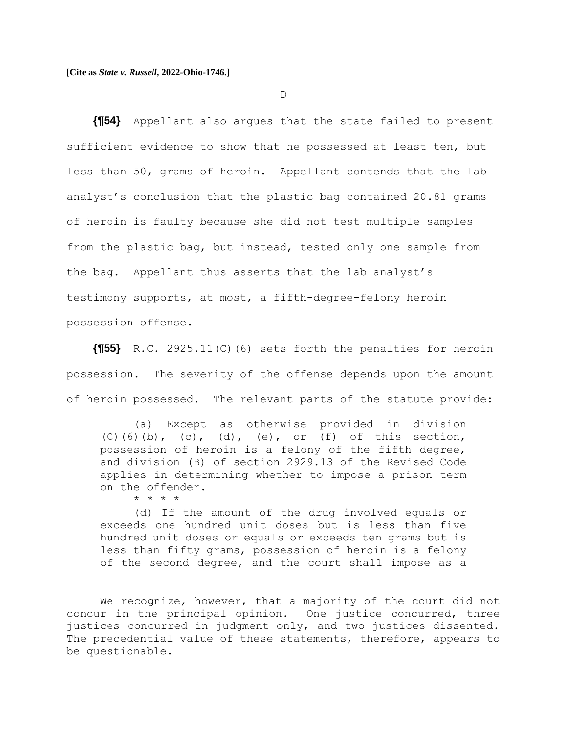D

**{¶54}** Appellant also argues that the state failed to present sufficient evidence to show that he possessed at least ten, but less than 50, grams of heroin. Appellant contends that the lab analyst's conclusion that the plastic bag contained 20.81 grams of heroin is faulty because she did not test multiple samples from the plastic bag, but instead, tested only one sample from the bag. Appellant thus asserts that the lab analyst's testimony supports, at most, a fifth-degree-felony heroin possession offense.

**{¶55}** R.C. 2925.11(C)(6) sets forth the penalties for heroin possession. The severity of the offense depends upon the amount of heroin possessed. The relevant parts of the statute provide:

(a) Except as otherwise provided in division (C)(6)(b), (c), (d), (e), or (f) of this section, possession of heroin is a felony of the fifth degree, and division (B) of section 2929.13 of the Revised Code applies in determining whether to impose a prison term on the offender. \* \* \* \*

(d) If the amount of the drug involved equals or exceeds one hundred unit doses but is less than five hundred unit doses or equals or exceeds ten grams but is less than fifty grams, possession of heroin is a felony of the second degree, and the court shall impose as a

We recognize, however, that a majority of the court did not concur in the principal opinion. One justice concurred, three justices concurred in judgment only, and two justices dissented. The precedential value of these statements, therefore, appears to be questionable.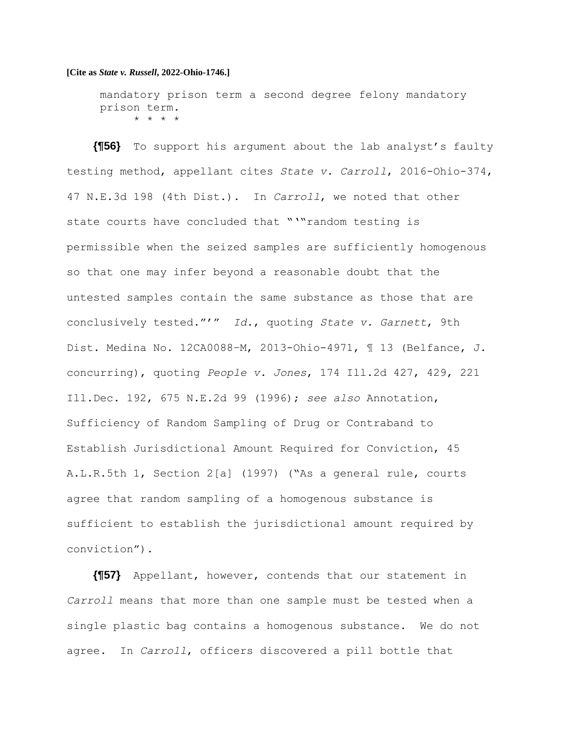mandatory prison term a second degree felony mandatory prison term. \* \* \* \*

**{¶56}** To support his argument about the lab analyst's faulty testing method, appellant cites *State v. Carroll*, 2016-Ohio-374, 47 N.E.3d 198 (4th Dist.). In *Carroll*, we noted that other state courts have concluded that "'"random testing is permissible when the seized samples are sufficiently homogenous so that one may infer beyond a reasonable doubt that the untested samples contain the same substance as those that are conclusively tested."'" *Id.*, quoting *State v. Garnett*, 9th Dist. Medina No. 12CA0088–M, 2013-Ohio-4971, ¶ 13 (Belfance, J. concurring), quoting *People v. Jones*, 174 Ill.2d 427, 429, 221 Ill.Dec. 192, 675 N.E.2d 99 (1996); *see also* Annotation, Sufficiency of Random Sampling of Drug or Contraband to Establish Jurisdictional Amount Required for Conviction, 45 A.L.R.5th 1, Section 2[a] (1997) ("As a general rule, courts agree that random sampling of a homogenous substance is sufficient to establish the jurisdictional amount required by conviction").

**{¶57}** Appellant, however, contends that our statement in *Carroll* means that more than one sample must be tested when a single plastic bag contains a homogenous substance. We do not agree. In *Carroll*, officers discovered a pill bottle that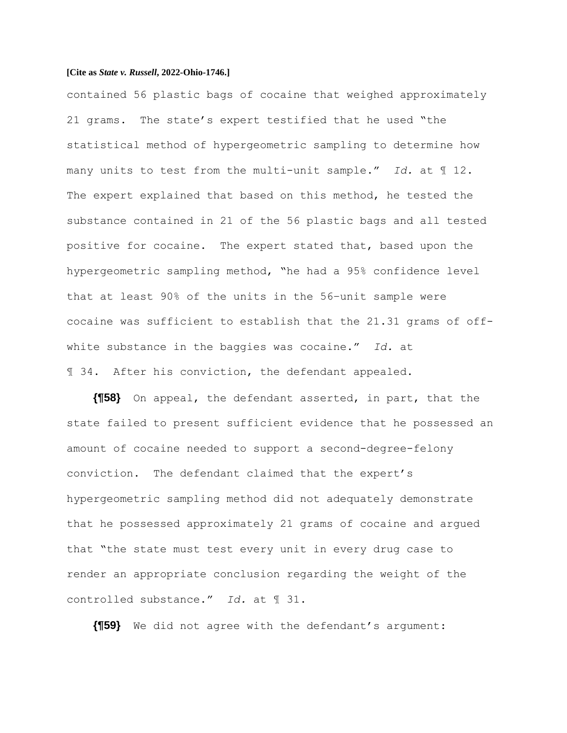contained 56 plastic bags of cocaine that weighed approximately 21 grams. The state's expert testified that he used "the statistical method of hypergeometric sampling to determine how many units to test from the multi-unit sample." *Id.* at ¶ 12. The expert explained that based on this method, he tested the substance contained in 21 of the 56 plastic bags and all tested positive for cocaine. The expert stated that, based upon the hypergeometric sampling method, "he had a 95% confidence level that at least 90% of the units in the 56–unit sample were cocaine was sufficient to establish that the 21.31 grams of offwhite substance in the baggies was cocaine." *Id.* at ¶ 34. After his conviction, the defendant appealed.

**{¶58}** On appeal, the defendant asserted, in part, that the state failed to present sufficient evidence that he possessed an amount of cocaine needed to support a second-degree-felony conviction. The defendant claimed that the expert's hypergeometric sampling method did not adequately demonstrate that he possessed approximately 21 grams of cocaine and argued that "the state must test every unit in every drug case to render an appropriate conclusion regarding the weight of the controlled substance." *Id.* at ¶ 31.

**{¶59}** We did not agree with the defendant's argument: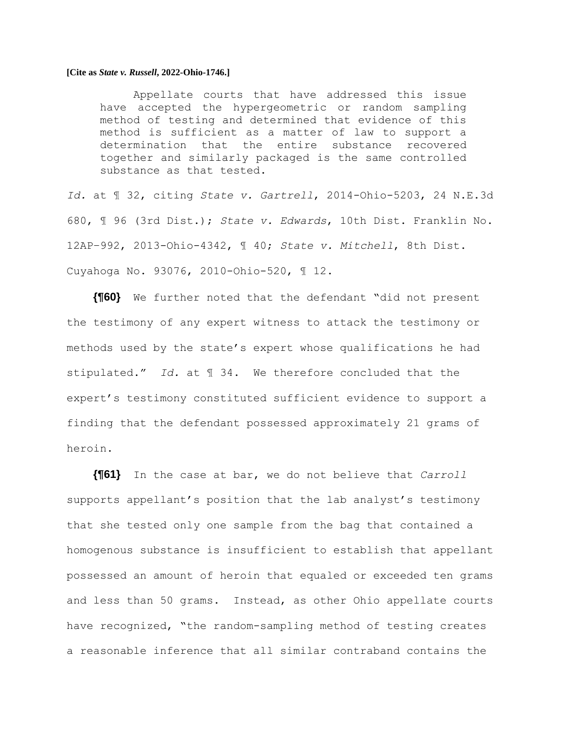Appellate courts that have addressed this issue have accepted the hypergeometric or random sampling method of testing and determined that evidence of this method is sufficient as a matter of law to support a determination that the entire substance recovered together and similarly packaged is the same controlled substance as that tested.

*Id.* at ¶ 32, citing *State v. Gartrell*, 2014-Ohio-5203, 24 N.E.3d 680, ¶ 96 (3rd Dist.); *State v. Edwards*, 10th Dist. Franklin No. 12AP–992, 2013-Ohio-4342, ¶ 40; *State v. Mitchell*, 8th Dist. Cuyahoga No. 93076, 2010-Ohio-520, ¶ 12.

**{¶60}** We further noted that the defendant "did not present the testimony of any expert witness to attack the testimony or methods used by the state's expert whose qualifications he had stipulated." *Id.* at ¶ 34. We therefore concluded that the expert's testimony constituted sufficient evidence to support a finding that the defendant possessed approximately 21 grams of heroin.

**{¶61}** In the case at bar, we do not believe that *Carroll* supports appellant's position that the lab analyst's testimony that she tested only one sample from the bag that contained a homogenous substance is insufficient to establish that appellant possessed an amount of heroin that equaled or exceeded ten grams and less than 50 grams. Instead, as other Ohio appellate courts have recognized, "the random-sampling method of testing creates a reasonable inference that all similar contraband contains the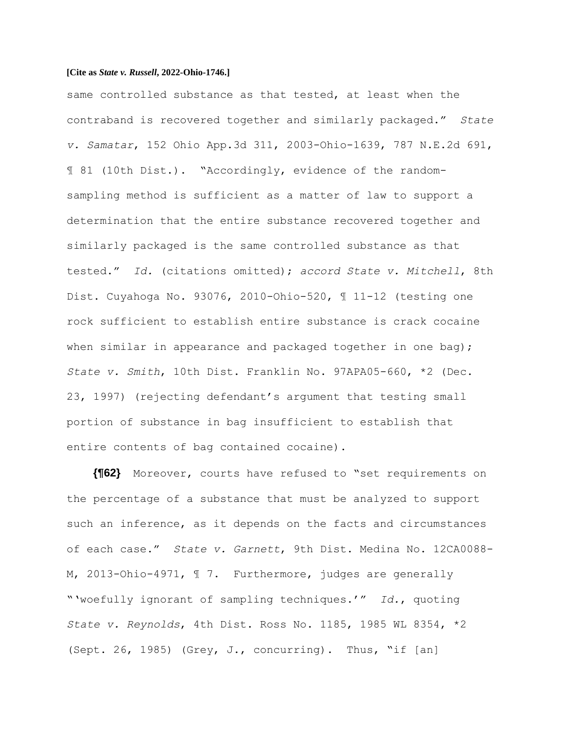same controlled substance as that tested, at least when the contraband is recovered together and similarly packaged." *State v. Samatar*, 152 Ohio App.3d 311, 2003-Ohio-1639, 787 N.E.2d 691, ¶ 81 (10th Dist.). "Accordingly, evidence of the randomsampling method is sufficient as a matter of law to support a determination that the entire substance recovered together and similarly packaged is the same controlled substance as that tested." *Id.* (citations omitted); *accord State v. Mitchell*, 8th Dist. Cuyahoga No. 93076, 2010-Ohio-520, ¶ 11-12 (testing one rock sufficient to establish entire substance is crack cocaine when similar in appearance and packaged together in one bag); *State v. Smith*, 10th Dist. Franklin No. 97APA05-660, \*2 (Dec. 23, 1997) (rejecting defendant's argument that testing small portion of substance in bag insufficient to establish that entire contents of bag contained cocaine).

**{¶62}** Moreover, courts have refused to "set requirements on the percentage of a substance that must be analyzed to support such an inference, as it depends on the facts and circumstances of each case." *State v. Garnett*, 9th Dist. Medina No. 12CA0088- M, 2013-Ohio-4971, ¶ 7. Furthermore, judges are generally "'woefully ignorant of sampling techniques.'" *Id.*, quoting *State v. Reynolds*, 4th Dist. Ross No. 1185, 1985 WL 8354, \*2 (Sept. 26, 1985) (Grey, J., concurring). Thus, "if  $[an]$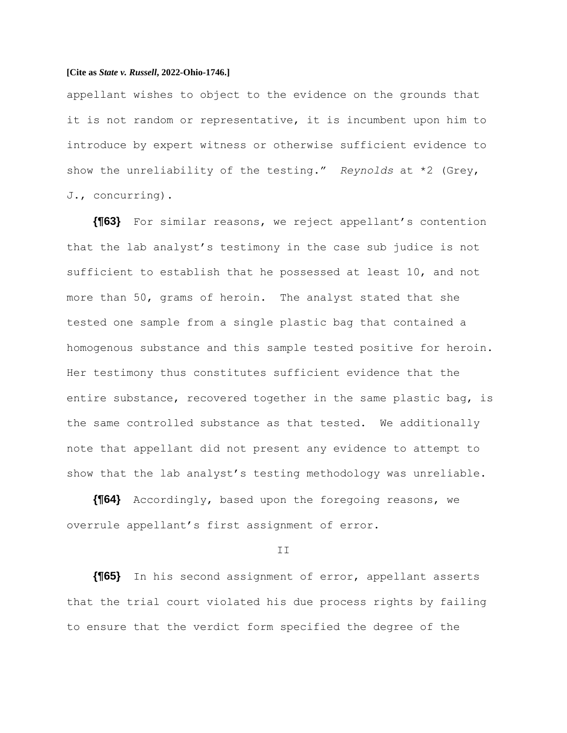appellant wishes to object to the evidence on the grounds that it is not random or representative, it is incumbent upon him to introduce by expert witness or otherwise sufficient evidence to show the unreliability of the testing." *Reynolds* at \*2 (Grey, J., concurring).

**{¶63}** For similar reasons, we reject appellant's contention that the lab analyst's testimony in the case sub judice is not sufficient to establish that he possessed at least 10, and not more than 50, grams of heroin. The analyst stated that she tested one sample from a single plastic bag that contained a homogenous substance and this sample tested positive for heroin. Her testimony thus constitutes sufficient evidence that the entire substance, recovered together in the same plastic bag, is the same controlled substance as that tested. We additionally note that appellant did not present any evidence to attempt to show that the lab analyst's testing methodology was unreliable.

**{¶64}** Accordingly, based upon the foregoing reasons, we overrule appellant's first assignment of error.

### II

**{¶65}** In his second assignment of error, appellant asserts that the trial court violated his due process rights by failing to ensure that the verdict form specified the degree of the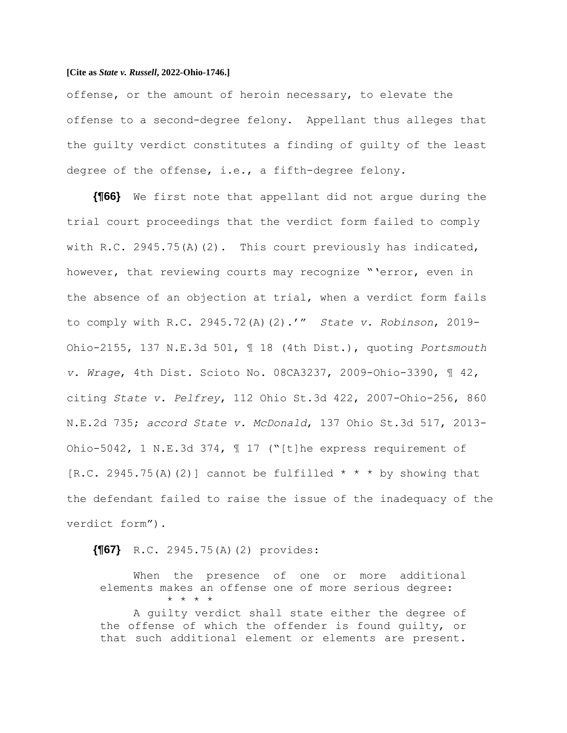offense, or the amount of heroin necessary, to elevate the offense to a second-degree felony. Appellant thus alleges that the guilty verdict constitutes a finding of guilty of the least degree of the offense, i.e., a fifth-degree felony.

**{¶66}** We first note that appellant did not argue during the trial court proceedings that the verdict form failed to comply with R.C. 2945.75(A)(2). This court previously has indicated, however, that reviewing courts may recognize "'error, even in the absence of an objection at trial, when a verdict form fails to comply with R.C. 2945.72(A)(2).'" *State v. Robinson*, 2019- Ohio-2155, 137 N.E.3d 501, ¶ 18 (4th Dist.), quoting *Portsmouth v. Wrage*, 4th Dist. Scioto No. 08CA3237, 2009-Ohio-3390, ¶ 42, citing *State v. Pelfrey*, 112 Ohio St.3d 422, 2007-Ohio-256, 860 N.E.2d 735; *accord State v. McDonald*, 137 Ohio St.3d 517, 2013- Ohio-5042, 1 N.E.3d 374, ¶ 17 ("[t]he express requirement of [R.C. 2945.75(A)(2)] cannot be fulfilled  $* * *$  by showing that the defendant failed to raise the issue of the inadequacy of the verdict form").

## **{¶67}** R.C. 2945.75(A)(2) provides:

When the presence of one or more additional elements makes an offense one of more serious degree: \* \* \* \*

A guilty verdict shall state either the degree of the offense of which the offender is found guilty, or that such additional element or elements are present.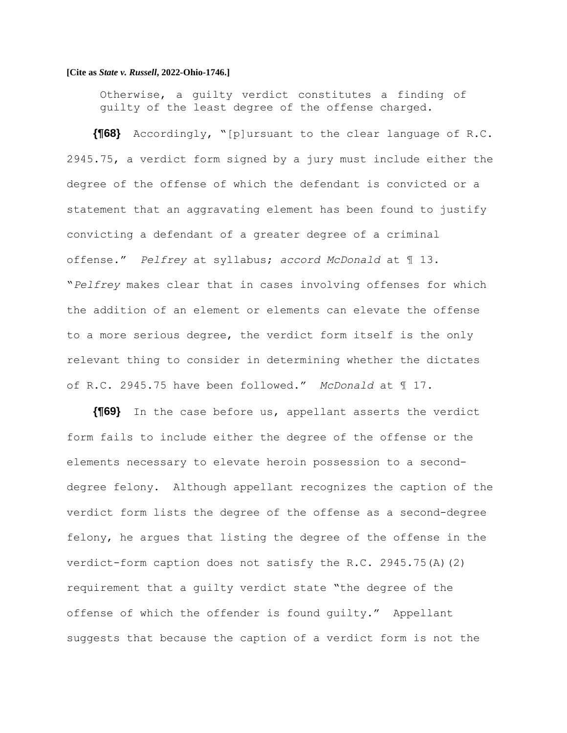Otherwise, a guilty verdict constitutes a finding of guilty of the least degree of the offense charged.

**{¶68}** Accordingly, "[p]ursuant to the clear language of R.C. 2945.75, a verdict form signed by a jury must include either the degree of the offense of which the defendant is convicted or a statement that an aggravating element has been found to justify convicting a defendant of a greater degree of a criminal offense." *Pelfrey* at syllabus; *accord McDonald* at ¶ 13. "*Pelfrey* makes clear that in cases involving offenses for which the addition of an element or elements can elevate the offense to a more serious degree, the verdict form itself is the only relevant thing to consider in determining whether the dictates of R.C. 2945.75 have been followed." *McDonald* at ¶ 17.

**{¶69}** In the case before us, appellant asserts the verdict form fails to include either the degree of the offense or the elements necessary to elevate heroin possession to a seconddegree felony. Although appellant recognizes the caption of the verdict form lists the degree of the offense as a second-degree felony, he argues that listing the degree of the offense in the verdict-form caption does not satisfy the R.C. 2945.75(A)(2) requirement that a guilty verdict state "the degree of the offense of which the offender is found guilty." Appellant suggests that because the caption of a verdict form is not the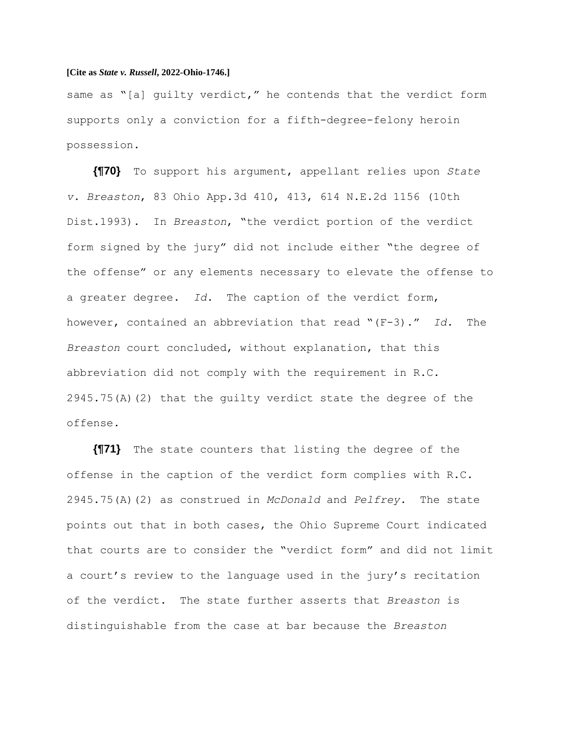same as "[a] quilty verdict," he contends that the verdict form supports only a conviction for a fifth-degree-felony heroin possession.

**{¶70}** To support his argument, appellant relies upon *State v. Breaston*, 83 Ohio App.3d 410, 413, 614 N.E.2d 1156 (10th Dist.1993). In *Breaston*, "the verdict portion of the verdict form signed by the jury" did not include either "the degree of the offense" or any elements necessary to elevate the offense to a greater degree. *Id.* The caption of the verdict form, however, contained an abbreviation that read "(F-3)." *Id.* The *Breaston* court concluded, without explanation, that this abbreviation did not comply with the requirement in R.C.  $2945.75(A)$  (2) that the quilty verdict state the degree of the offense.

**{¶71}** The state counters that listing the degree of the offense in the caption of the verdict form complies with R.C. 2945.75(A)(2) as construed in *McDonald* and *Pelfrey*. The state points out that in both cases, the Ohio Supreme Court indicated that courts are to consider the "verdict form" and did not limit a court's review to the language used in the jury's recitation of the verdict. The state further asserts that *Breaston* is distinguishable from the case at bar because the *Breaston*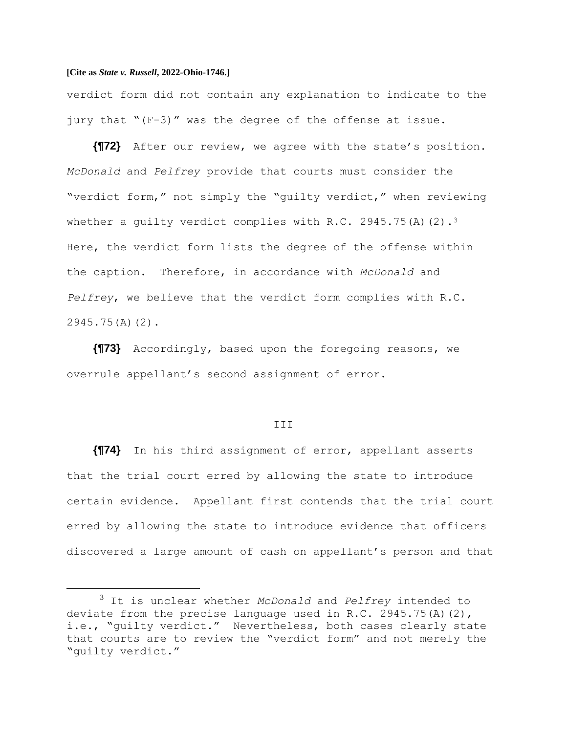verdict form did not contain any explanation to indicate to the jury that "(F-3)" was the degree of the offense at issue.

**{¶72}** After our review, we agree with the state's position. *McDonald* and *Pelfrey* provide that courts must consider the "verdict form," not simply the "guilty verdict," when reviewing whether a quilty verdict complies with R.C. 2945.75(A)(2).<sup>3</sup> Here, the verdict form lists the degree of the offense within the caption. Therefore, in accordance with *McDonald* and *Pelfrey*, we believe that the verdict form complies with R.C. 2945.75(A)(2).

**{¶73}** Accordingly, based upon the foregoing reasons, we overrule appellant's second assignment of error.

#### III

**{¶74}** In his third assignment of error, appellant asserts that the trial court erred by allowing the state to introduce certain evidence. Appellant first contends that the trial court erred by allowing the state to introduce evidence that officers discovered a large amount of cash on appellant's person and that

<sup>3</sup> It is unclear whether *McDonald* and *Pelfrey* intended to deviate from the precise language used in R.C. 2945.75(A)(2), i.e., "guilty verdict." Nevertheless, both cases clearly state that courts are to review the "verdict form" and not merely the "guilty verdict."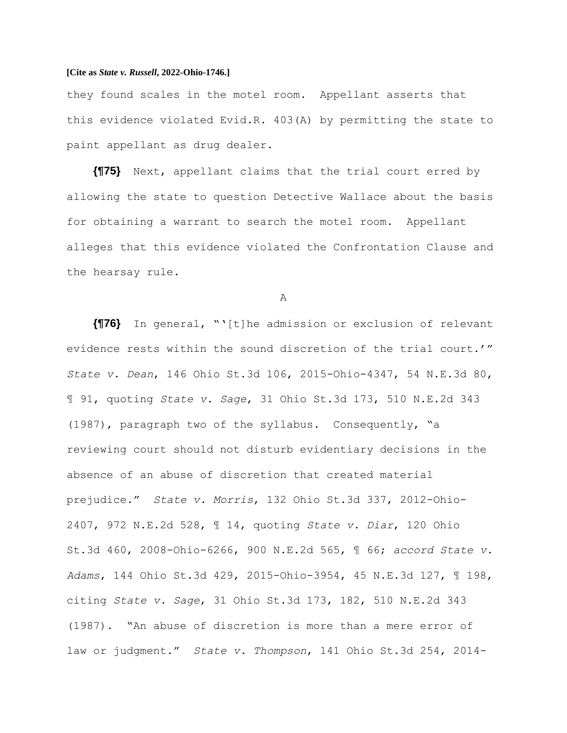they found scales in the motel room. Appellant asserts that this evidence violated Evid.R. 403(A) by permitting the state to paint appellant as drug dealer.

**{¶75}** Next, appellant claims that the trial court erred by allowing the state to question Detective Wallace about the basis for obtaining a warrant to search the motel room. Appellant alleges that this evidence violated the Confrontation Clause and the hearsay rule.

A

**{¶76}** In general, "'[t]he admission or exclusion of relevant evidence rests within the sound discretion of the trial court.'" *State v. Dean*, 146 Ohio St.3d 106, 2015-Ohio-4347, 54 N.E.3d 80, ¶ 91, quoting *State v. Sage*, 31 Ohio St.3d 173, 510 N.E.2d 343 (1987), paragraph two of the syllabus. Consequently, "a reviewing court should not disturb evidentiary decisions in the absence of an abuse of discretion that created material prejudice." *State v. Morris*, 132 Ohio St.3d 337, 2012-Ohio-2407, 972 N.E.2d 528, ¶ 14, quoting *State v. Diar*, 120 Ohio St.3d 460, 2008-Ohio-6266, 900 N.E.2d 565, ¶ 66; *accord State v. Adams*, 144 Ohio St.3d 429, 2015-Ohio-3954, 45 N.E.3d 127, ¶ 198, citing *State v. Sage*, 31 Ohio St.3d 173, 182, 510 N.E.2d 343 (1987). "An abuse of discretion is more than a mere error of law or judgment." *State v. Thompson*, 141 Ohio St.3d 254, 2014-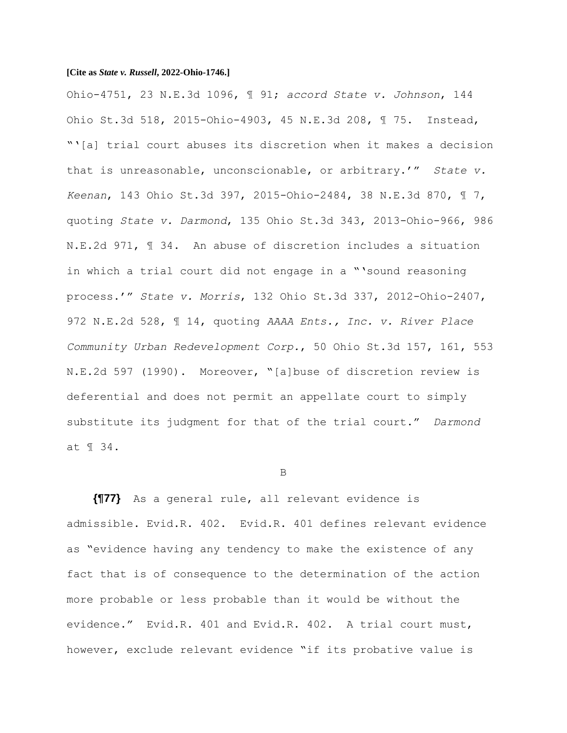Ohio-4751, 23 N.E.3d 1096, ¶ 91; *accord State v. Johnson*, 144 Ohio St.3d 518, 2015-Ohio-4903, 45 N.E.3d 208, ¶ 75. Instead, "'[a] trial court abuses its discretion when it makes a decision that is unreasonable, unconscionable, or arbitrary.'" *State v. Keenan*, 143 Ohio St.3d 397, 2015-Ohio-2484, 38 N.E.3d 870, ¶ 7, quoting *State v. Darmond*, 135 Ohio St.3d 343, 2013-Ohio-966, 986 N.E.2d 971, ¶ 34. An abuse of discretion includes a situation in which a trial court did not engage in a "'sound reasoning process.'" *State v. Morris*, 132 Ohio St.3d 337, 2012-Ohio-2407, 972 N.E.2d 528, ¶ 14, quoting *AAAA Ents., Inc. v. River Place Community Urban Redevelopment Corp.*, 50 Ohio St.3d 157, 161, 553 N.E.2d 597 (1990). Moreover, "[a]buse of discretion review is deferential and does not permit an appellate court to simply substitute its judgment for that of the trial court." *Darmond* at ¶ 34.

#### B

**{¶77}** As a general rule, all relevant evidence is admissible. Evid.R. 402. Evid.R. 401 defines relevant evidence as "evidence having any tendency to make the existence of any fact that is of consequence to the determination of the action more probable or less probable than it would be without the evidence." Evid.R. 401 and Evid.R. 402. A trial court must, however, exclude relevant evidence "if its probative value is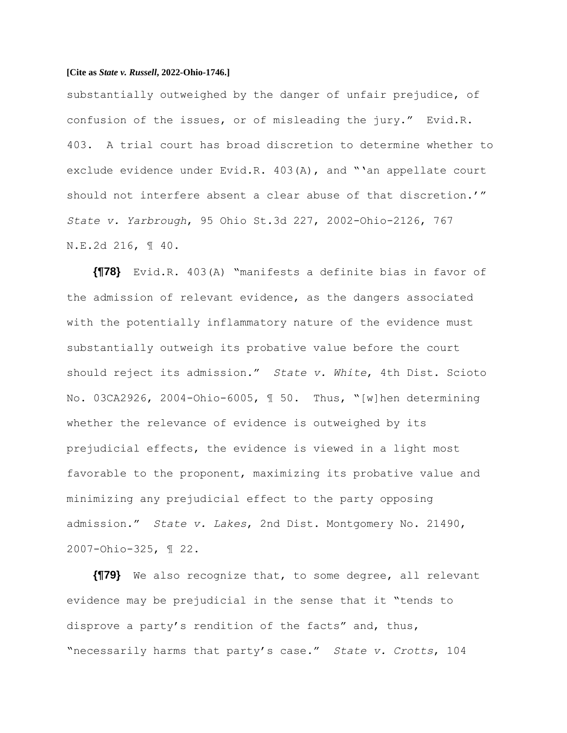substantially outweighed by the danger of unfair prejudice, of confusion of the issues, or of misleading the jury." Evid.R. 403. A trial court has broad discretion to determine whether to exclude evidence under Evid.R. 403(A), and "'an appellate court should not interfere absent a clear abuse of that discretion.'" *State v. Yarbrough*, 95 Ohio St.3d 227, 2002-Ohio-2126, 767 N.E.2d 216, ¶ 40.

**{¶78}** Evid.R. 403(A) "manifests a definite bias in favor of the admission of relevant evidence, as the dangers associated with the potentially inflammatory nature of the evidence must substantially outweigh its probative value before the court should reject its admission." *State v. White*, 4th Dist. Scioto No. 03CA2926, 2004-Ohio-6005, ¶ 50. Thus, "[w]hen determining whether the relevance of evidence is outweighed by its prejudicial effects, the evidence is viewed in a light most favorable to the proponent, maximizing its probative value and minimizing any prejudicial effect to the party opposing admission." *State v. Lakes*, 2nd Dist. Montgomery No. 21490, 2007-Ohio-325, ¶ 22.

**{¶79}** We also recognize that, to some degree, all relevant evidence may be prejudicial in the sense that it "tends to disprove a party's rendition of the facts" and, thus, "necessarily harms that party's case." *State v. Crotts*, 104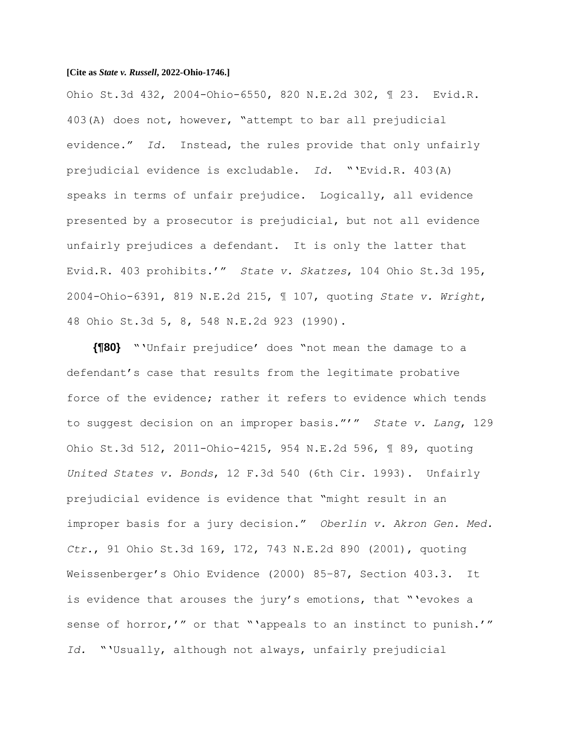Ohio St.3d 432, 2004-Ohio-6550, 820 N.E.2d 302, ¶ 23. Evid.R. 403(A) does not, however, "attempt to bar all prejudicial evidence." *Id.* Instead, the rules provide that only unfairly prejudicial evidence is excludable. *Id.* "'Evid.R. 403(A) speaks in terms of unfair prejudice. Logically, all evidence presented by a prosecutor is prejudicial, but not all evidence unfairly prejudices a defendant. It is only the latter that Evid.R. 403 prohibits.'" *State v. Skatzes*, 104 Ohio St.3d 195, 2004-Ohio-6391, 819 N.E.2d 215, ¶ 107, quoting *State v. Wright*, 48 Ohio St.3d 5, 8, 548 N.E.2d 923 (1990).

**{¶80}** "'Unfair prejudice' does "not mean the damage to a defendant's case that results from the legitimate probative force of the evidence; rather it refers to evidence which tends to suggest decision on an improper basis."'" *State v. Lang*, 129 Ohio St.3d 512, 2011-Ohio-4215, 954 N.E.2d 596, ¶ 89, quoting *United States v. Bonds*, 12 F.3d 540 (6th Cir. 1993). Unfairly prejudicial evidence is evidence that "might result in an improper basis for a jury decision." *Oberlin v. Akron Gen. Med. Ctr.*, 91 Ohio St.3d 169, 172, 743 N.E.2d 890 (2001), quoting Weissenberger's Ohio Evidence (2000) 85–87, Section 403.3. It is evidence that arouses the jury's emotions, that "'evokes a sense of horror,'" or that "'appeals to an instinct to punish.'" *Id.* "'Usually, although not always, unfairly prejudicial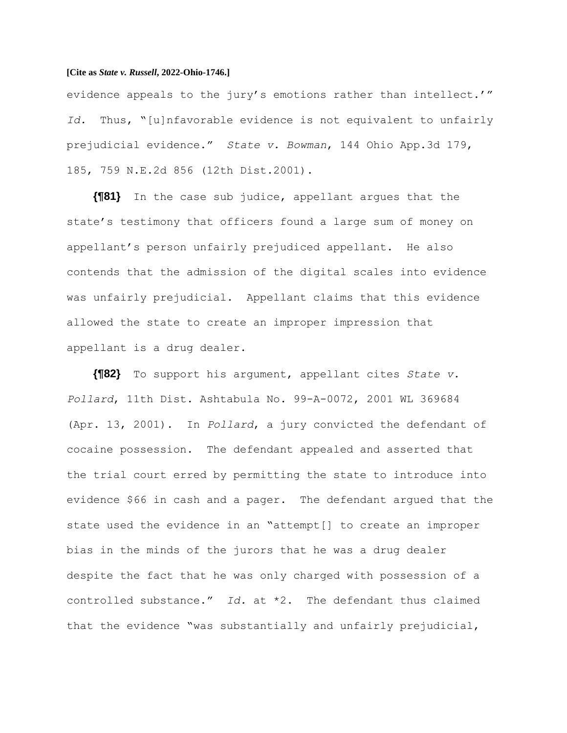evidence appeals to the jury's emotions rather than intellect.'" *Id.* Thus, "[u]nfavorable evidence is not equivalent to unfairly prejudicial evidence." *State v. Bowman*, 144 Ohio App.3d 179, 185, 759 N.E.2d 856 (12th Dist.2001).

**{¶81}** In the case sub judice, appellant argues that the state's testimony that officers found a large sum of money on appellant's person unfairly prejudiced appellant. He also contends that the admission of the digital scales into evidence was unfairly prejudicial. Appellant claims that this evidence allowed the state to create an improper impression that appellant is a drug dealer.

**{¶82}** To support his argument, appellant cites *State v. Pollard*, 11th Dist. Ashtabula No. 99-A-0072, 2001 WL 369684 (Apr. 13, 2001). In *Pollard*, a jury convicted the defendant of cocaine possession. The defendant appealed and asserted that the trial court erred by permitting the state to introduce into evidence \$66 in cash and a pager. The defendant argued that the state used the evidence in an "attempt[] to create an improper bias in the minds of the jurors that he was a drug dealer despite the fact that he was only charged with possession of a controlled substance." *Id.* at \*2. The defendant thus claimed that the evidence "was substantially and unfairly prejudicial,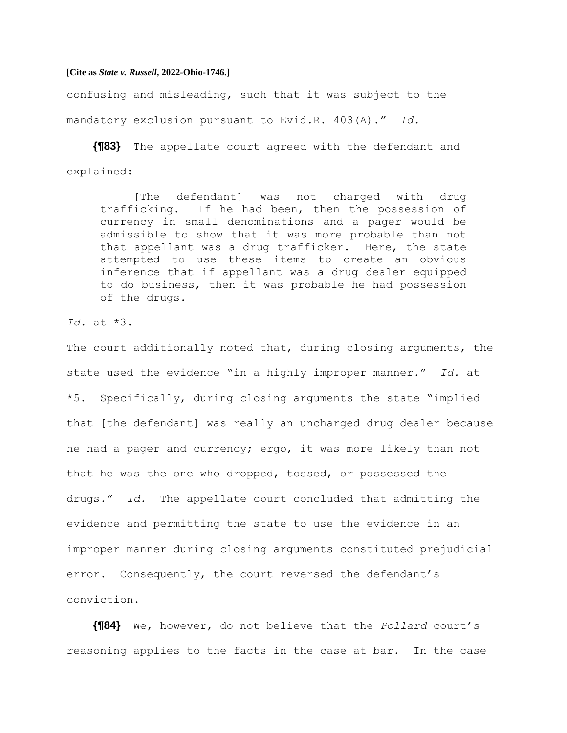confusing and misleading, such that it was subject to the mandatory exclusion pursuant to Evid.R. 403(A)." *Id.*

**{¶83}** The appellate court agreed with the defendant and explained:

[The defendant] was not charged with drug trafficking. If he had been, then the possession of currency in small denominations and a pager would be admissible to show that it was more probable than not that appellant was a drug trafficker. Here, the state attempted to use these items to create an obvious inference that if appellant was a drug dealer equipped to do business, then it was probable he had possession of the drugs.

*Id.* at \*3.

The court additionally noted that, during closing arguments, the state used the evidence "in a highly improper manner." *Id.* at \*5. Specifically, during closing arguments the state "implied that [the defendant] was really an uncharged drug dealer because he had a pager and currency; ergo, it was more likely than not that he was the one who dropped, tossed, or possessed the drugs." *Id.* The appellate court concluded that admitting the evidence and permitting the state to use the evidence in an improper manner during closing arguments constituted prejudicial error. Consequently, the court reversed the defendant's conviction.

**{¶84}** We, however, do not believe that the *Pollard* court's reasoning applies to the facts in the case at bar. In the case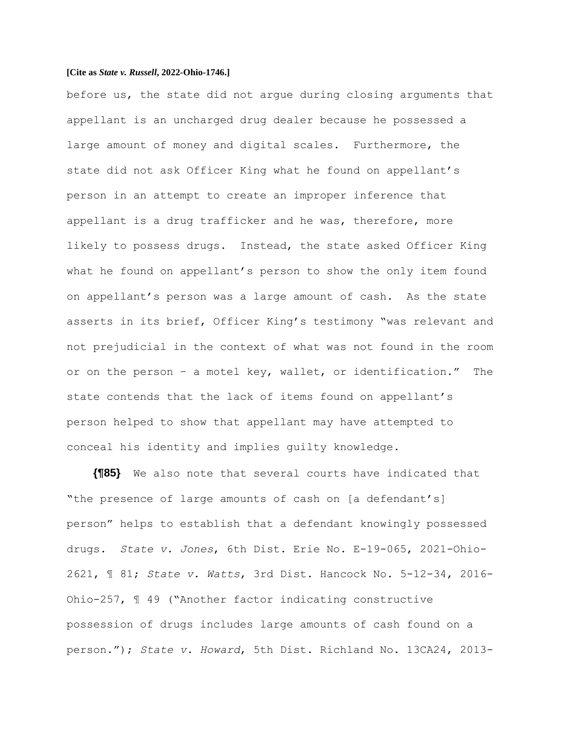before us, the state did not argue during closing arguments that appellant is an uncharged drug dealer because he possessed a large amount of money and digital scales. Furthermore, the state did not ask Officer King what he found on appellant's person in an attempt to create an improper inference that appellant is a drug trafficker and he was, therefore, more likely to possess drugs. Instead, the state asked Officer King what he found on appellant's person to show the only item found on appellant's person was a large amount of cash. As the state asserts in its brief, Officer King's testimony "was relevant and not prejudicial in the context of what was not found in the room or on the person – a motel key, wallet, or identification." The state contends that the lack of items found on appellant's person helped to show that appellant may have attempted to conceal his identity and implies guilty knowledge.

**{¶85}** We also note that several courts have indicated that "the presence of large amounts of cash on [a defendant's] person" helps to establish that a defendant knowingly possessed drugs. *State v. Jones*, 6th Dist. Erie No. E-19-065, 2021-Ohio-2621, ¶ 81; *State v. Watts*, 3rd Dist. Hancock No. 5-12-34, 2016- Ohio-257, ¶ 49 ("Another factor indicating constructive possession of drugs includes large amounts of cash found on a person."); *State v. Howard*, 5th Dist. Richland No. 13CA24, 2013-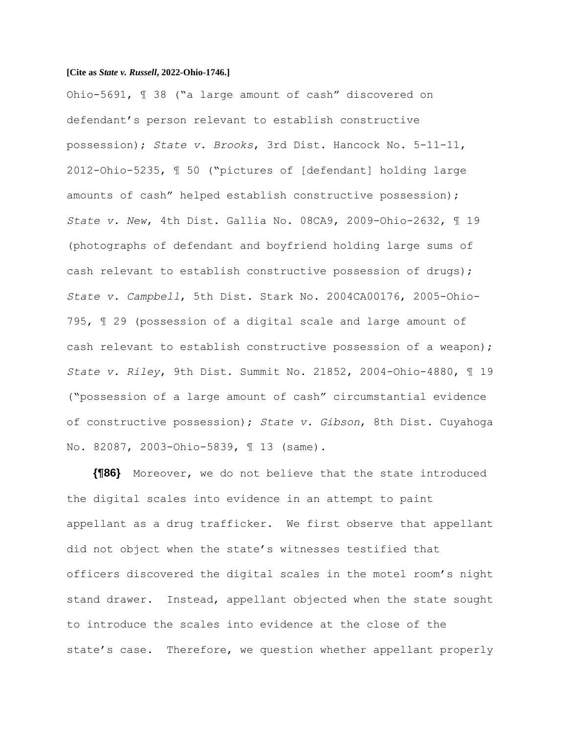Ohio-5691, ¶ 38 ("a large amount of cash" discovered on defendant's person relevant to establish constructive possession); *State v. Brooks*, 3rd Dist. Hancock No. 5-11-11, 2012-Ohio-5235, ¶ 50 ("pictures of [defendant] holding large amounts of cash" helped establish constructive possession); *State v. New*, 4th Dist. Gallia No. 08CA9, 2009-Ohio-2632, ¶ 19 (photographs of defendant and boyfriend holding large sums of cash relevant to establish constructive possession of drugs); *State v. Campbell*, 5th Dist. Stark No. 2004CA00176, 2005-Ohio-795, ¶ 29 (possession of a digital scale and large amount of cash relevant to establish constructive possession of a weapon); *State v. Riley*, 9th Dist. Summit No. 21852, 2004-Ohio-4880, ¶ 19 ("possession of a large amount of cash" circumstantial evidence of constructive possession); *State v. Gibson*, 8th Dist. Cuyahoga No. 82087, 2003-Ohio-5839, ¶ 13 (same).

**{¶86}** Moreover, we do not believe that the state introduced the digital scales into evidence in an attempt to paint appellant as a drug trafficker. We first observe that appellant did not object when the state's witnesses testified that officers discovered the digital scales in the motel room's night stand drawer. Instead, appellant objected when the state sought to introduce the scales into evidence at the close of the state's case. Therefore, we question whether appellant properly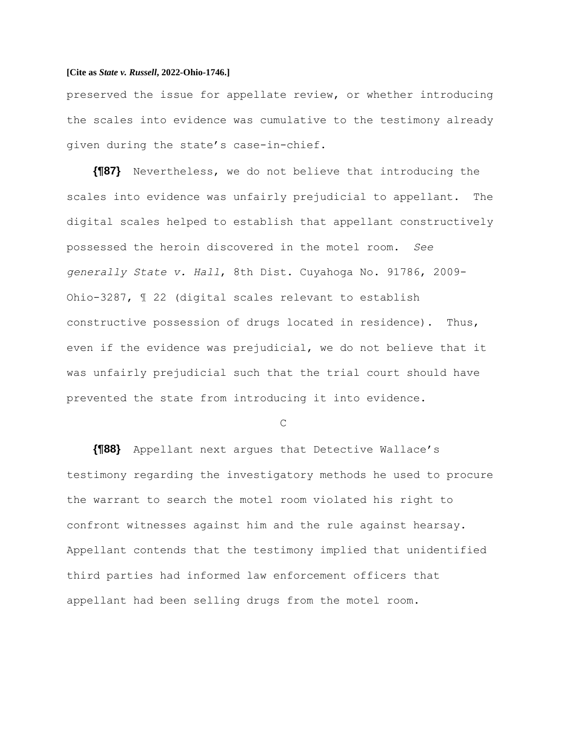preserved the issue for appellate review, or whether introducing the scales into evidence was cumulative to the testimony already given during the state's case-in-chief.

**{¶87}** Nevertheless, we do not believe that introducing the scales into evidence was unfairly prejudicial to appellant. The digital scales helped to establish that appellant constructively possessed the heroin discovered in the motel room. *See generally State v. Hall*, 8th Dist. Cuyahoga No. 91786, 2009- Ohio-3287, ¶ 22 (digital scales relevant to establish constructive possession of drugs located in residence). Thus, even if the evidence was prejudicial, we do not believe that it was unfairly prejudicial such that the trial court should have prevented the state from introducing it into evidence.

 $\overline{C}$ 

**{¶88}** Appellant next argues that Detective Wallace's testimony regarding the investigatory methods he used to procure the warrant to search the motel room violated his right to confront witnesses against him and the rule against hearsay. Appellant contends that the testimony implied that unidentified third parties had informed law enforcement officers that appellant had been selling drugs from the motel room.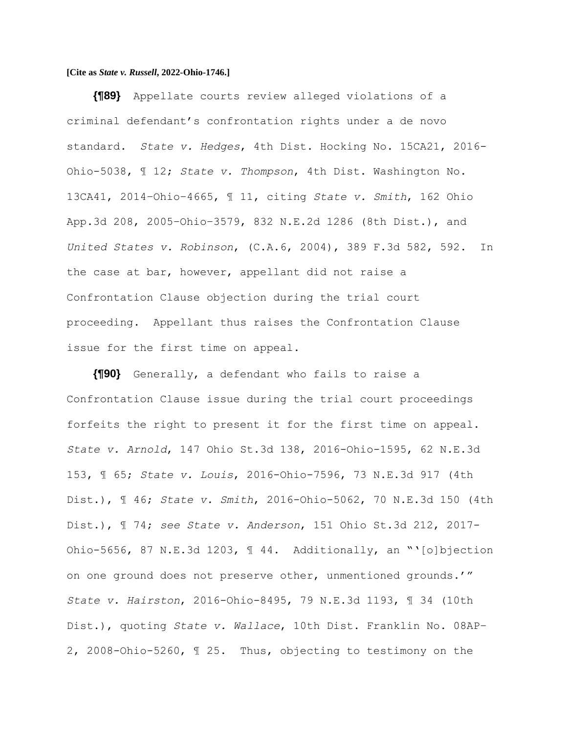**{¶89}** Appellate courts review alleged violations of a criminal defendant's confrontation rights under a de novo standard. *State v. Hedges*, 4th Dist. Hocking No. 15CA21, 2016- Ohio-5038, ¶ 12; *State v. Thompson*, 4th Dist. Washington No. 13CA41, 2014–Ohio–4665, ¶ 11, citing *State v. Smith*, 162 Ohio App.3d 208, 2005–Ohio–3579, 832 N.E.2d 1286 (8th Dist.), and *United States v. Robinson*, (C.A.6, 2004), 389 F.3d 582, 592. In the case at bar, however, appellant did not raise a Confrontation Clause objection during the trial court proceeding. Appellant thus raises the Confrontation Clause issue for the first time on appeal.

**{¶90}** Generally, a defendant who fails to raise a Confrontation Clause issue during the trial court proceedings forfeits the right to present it for the first time on appeal. *State v. Arnold*, 147 Ohio St.3d 138, 2016-Ohio-1595, 62 N.E.3d 153, ¶ 65; *State v. Louis*, 2016-Ohio-7596, 73 N.E.3d 917 (4th Dist.), ¶ 46; *State v. Smith*, 2016-Ohio-5062, 70 N.E.3d 150 (4th Dist.), ¶ 74; *see State v. Anderson*, 151 Ohio St.3d 212, 2017- Ohio-5656, 87 N.E.3d 1203, ¶ 44. Additionally, an "'[o]bjection on one ground does not preserve other, unmentioned grounds.'" *State v. Hairston*, 2016-Ohio-8495, 79 N.E.3d 1193, ¶ 34 (10th Dist.), quoting *State v. Wallace*, 10th Dist. Franklin No. 08AP– 2, 2008-Ohio-5260, ¶ 25. Thus, objecting to testimony on the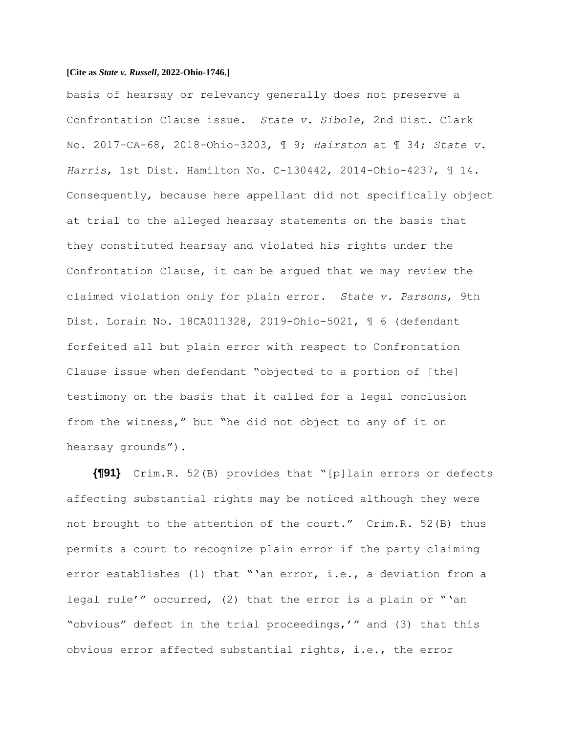basis of hearsay or relevancy generally does not preserve a Confrontation Clause issue. *State v. Sibole*, 2nd Dist. Clark No. 2017-CA-68, 2018-Ohio-3203, ¶ 9; *Hairston* at ¶ 34; *State v. Harris*, 1st Dist. Hamilton No. C-130442, 2014-Ohio-4237, ¶ 14. Consequently, because here appellant did not specifically object at trial to the alleged hearsay statements on the basis that they constituted hearsay and violated his rights under the Confrontation Clause, it can be argued that we may review the claimed violation only for plain error. *State v. Parsons*, 9th Dist. Lorain No. 18CA011328, 2019-Ohio-5021, ¶ 6 (defendant forfeited all but plain error with respect to Confrontation Clause issue when defendant "objected to a portion of [the] testimony on the basis that it called for a legal conclusion from the witness," but "he did not object to any of it on hearsay grounds").

**{¶91}** Crim.R. 52(B) provides that "[p]lain errors or defects affecting substantial rights may be noticed although they were not brought to the attention of the court." Crim.R. 52(B) thus permits a court to recognize plain error if the party claiming error establishes (1) that "'an error, i.e., a deviation from a legal rule'" occurred, (2) that the error is a plain or "'an "obvious" defect in the trial proceedings,'" and (3) that this obvious error affected substantial rights, i.e., the error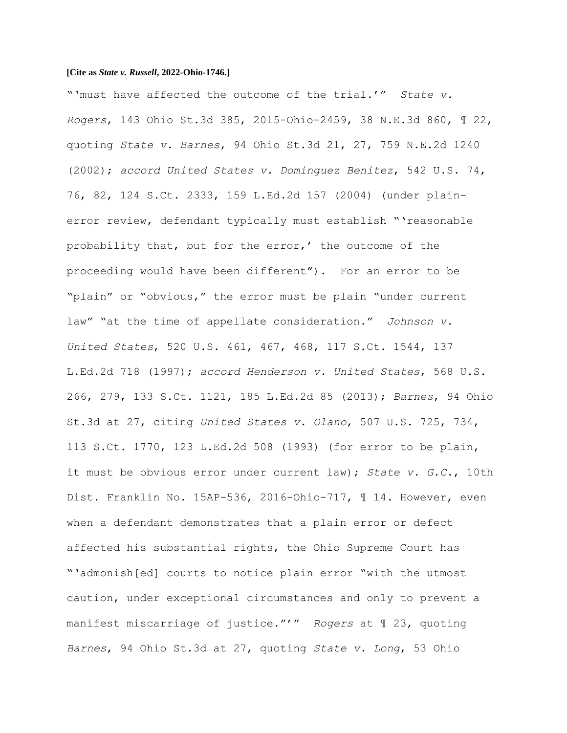"'must have affected the outcome of the trial.'" *State v. Rogers*, 143 Ohio St.3d 385, 2015-Ohio-2459, 38 N.E.3d 860, ¶ 22, quoting *State v. Barnes*, 94 Ohio St.3d 21, 27, 759 N.E.2d 1240 (2002); *accord United States v. Dominguez Benitez*, 542 U.S. 74, 76, 82, 124 S.Ct. 2333, 159 L.Ed.2d 157 (2004) (under plainerror review, defendant typically must establish "'reasonable probability that, but for the error,' the outcome of the proceeding would have been different"). For an error to be "plain" or "obvious," the error must be plain "under current law" "at the time of appellate consideration." *Johnson v. United States*, 520 U.S. 461, 467, 468, 117 S.Ct. 1544, 137 L.Ed.2d 718 (1997); *accord Henderson v. United States*, 568 U.S. 266, 279, 133 S.Ct. 1121, 185 L.Ed.2d 85 (2013); *Barnes*, 94 Ohio St.3d at 27, citing *United States v. Olano*, 507 U.S. 725, 734, 113 S.Ct. 1770, 123 L.Ed.2d 508 (1993) (for error to be plain, it must be obvious error under current law); *State v. G.C.*, 10th Dist. Franklin No. 15AP-536, 2016-Ohio-717, ¶ 14. However, even when a defendant demonstrates that a plain error or defect affected his substantial rights, the Ohio Supreme Court has "'admonish[ed] courts to notice plain error "with the utmost caution, under exceptional circumstances and only to prevent a manifest miscarriage of justice."'" *Rogers* at ¶ 23, quoting *Barnes*, 94 Ohio St.3d at 27, quoting *State v. Long*, 53 Ohio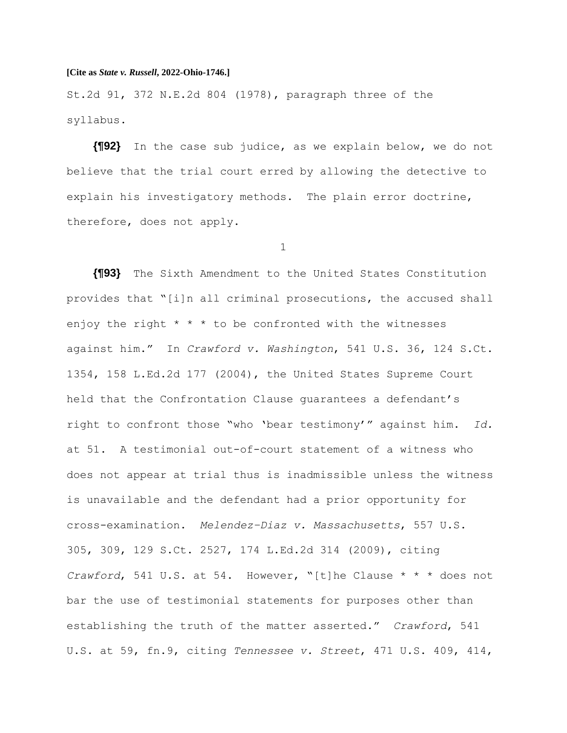St.2d 91, 372 N.E.2d 804 (1978), paragraph three of the syllabus.

**{¶92}** In the case sub judice, as we explain below, we do not believe that the trial court erred by allowing the detective to explain his investigatory methods. The plain error doctrine, therefore, does not apply.

1

**{¶93}** The Sixth Amendment to the United States Constitution provides that "[i]n all criminal prosecutions, the accused shall enjoy the right  $* * *$  to be confronted with the witnesses against him." In *Crawford v. Washington*, 541 U.S. 36, 124 S.Ct. 1354, 158 L.Ed.2d 177 (2004), the United States Supreme Court held that the Confrontation Clause guarantees a defendant's right to confront those "who 'bear testimony'" against him. *Id.* at 51. A testimonial out-of-court statement of a witness who does not appear at trial thus is inadmissible unless the witness is unavailable and the defendant had a prior opportunity for cross-examination. *Melendez–Diaz v. Massachusetts*, 557 U.S. 305, 309, 129 S.Ct. 2527, 174 L.Ed.2d 314 (2009), citing *Crawford*, 541 U.S. at 54. However, "[t]he Clause \* \* \* does not bar the use of testimonial statements for purposes other than establishing the truth of the matter asserted." *Crawford*, 541 U.S. at 59, fn.9, citing *Tennessee v. Street*, 471 U.S. 409, 414,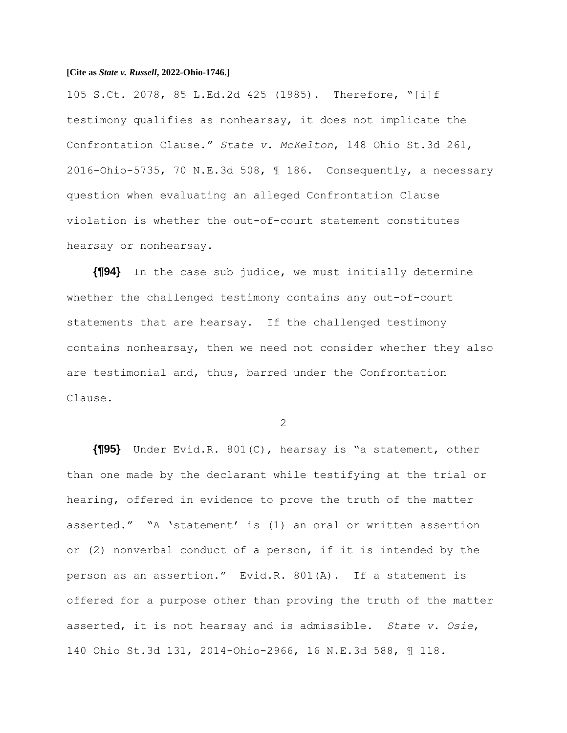105 S.Ct. 2078, 85 L.Ed.2d 425 (1985). Therefore, "[i]f testimony qualifies as nonhearsay, it does not implicate the Confrontation Clause." *State v. McKelton*, 148 Ohio St.3d 261, 2016-Ohio-5735, 70 N.E.3d 508, ¶ 186. Consequently, a necessary question when evaluating an alleged Confrontation Clause violation is whether the out-of-court statement constitutes hearsay or nonhearsay.

**{¶94}** In the case sub judice, we must initially determine whether the challenged testimony contains any out-of-court statements that are hearsay. If the challenged testimony contains nonhearsay, then we need not consider whether they also are testimonial and, thus, barred under the Confrontation Clause.

 $\mathcal{P}$ 

**{¶95}** Under Evid.R. 801(C), hearsay is "a statement, other than one made by the declarant while testifying at the trial or hearing, offered in evidence to prove the truth of the matter asserted." "A 'statement' is (1) an oral or written assertion or (2) nonverbal conduct of a person, if it is intended by the person as an assertion." Evid.R. 801(A). If a statement is offered for a purpose other than proving the truth of the matter asserted, it is not hearsay and is admissible. *State v. Osie*, 140 Ohio St.3d 131, 2014-Ohio-2966, 16 N.E.3d 588, ¶ 118.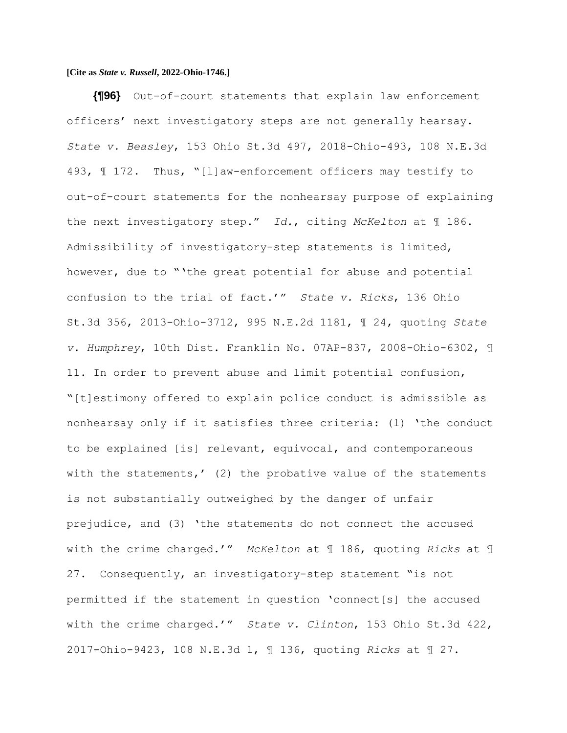**{¶96}** Out-of-court statements that explain law enforcement officers' next investigatory steps are not generally hearsay. *State v. Beasley*, 153 Ohio St.3d 497, 2018-Ohio-493, 108 N.E.3d 493, ¶ 172. Thus, "[l]aw-enforcement officers may testify to out-of-court statements for the nonhearsay purpose of explaining the next investigatory step." *Id.*, citing *McKelton* at ¶ 186. Admissibility of investigatory-step statements is limited, however, due to "'the great potential for abuse and potential confusion to the trial of fact.'" *State v. Ricks*, 136 Ohio St.3d 356, 2013-Ohio-3712, 995 N.E.2d 1181, ¶ 24, quoting *State v. Humphrey*, 10th Dist. Franklin No. 07AP-837, 2008-Ohio-6302, ¶ 11. In order to prevent abuse and limit potential confusion, "[t]estimony offered to explain police conduct is admissible as nonhearsay only if it satisfies three criteria: (1) 'the conduct to be explained [is] relevant, equivocal, and contemporaneous with the statements,' (2) the probative value of the statements is not substantially outweighed by the danger of unfair prejudice, and (3) 'the statements do not connect the accused with the crime charged.'" *McKelton* at ¶ 186, quoting *Ricks* at ¶ 27. Consequently, an investigatory-step statement "is not permitted if the statement in question 'connect[s] the accused with the crime charged.'" *State v. Clinton*, 153 Ohio St.3d 422, 2017-Ohio-9423, 108 N.E.3d 1, ¶ 136, quoting *Ricks* at ¶ 27.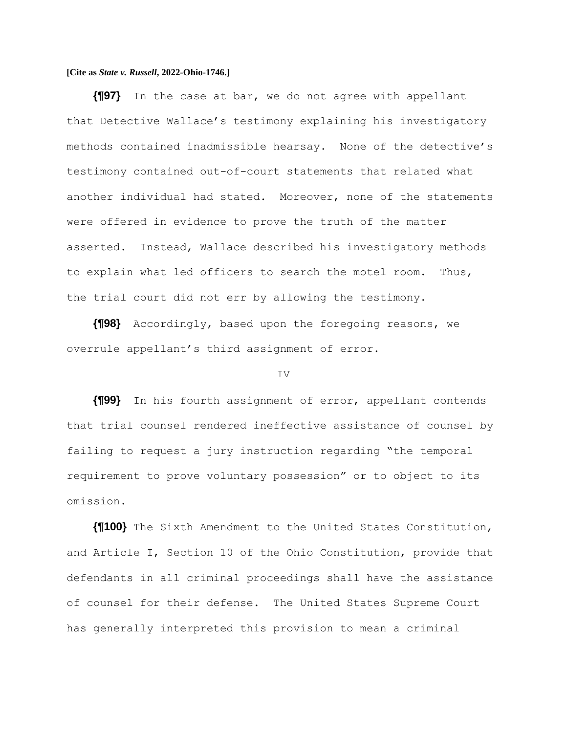**{¶97}** In the case at bar, we do not agree with appellant that Detective Wallace's testimony explaining his investigatory methods contained inadmissible hearsay. None of the detective's testimony contained out-of-court statements that related what another individual had stated. Moreover, none of the statements were offered in evidence to prove the truth of the matter asserted. Instead, Wallace described his investigatory methods to explain what led officers to search the motel room. Thus, the trial court did not err by allowing the testimony.

**{¶98}** Accordingly, based upon the foregoing reasons, we overrule appellant's third assignment of error.

#### IV

**{¶99}** In his fourth assignment of error, appellant contends that trial counsel rendered ineffective assistance of counsel by failing to request a jury instruction regarding "the temporal requirement to prove voluntary possession" or to object to its omission.

**{¶100}** The Sixth Amendment to the United States Constitution, and Article I, Section 10 of the Ohio Constitution, provide that defendants in all criminal proceedings shall have the assistance of counsel for their defense. The United States Supreme Court has generally interpreted this provision to mean a criminal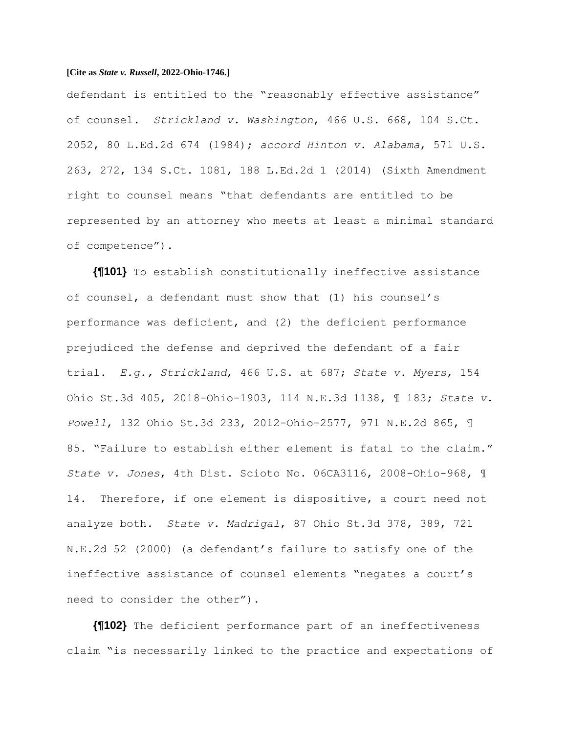defendant is entitled to the "reasonably effective assistance" of counsel. *Strickland v. Washington*, 466 U.S. 668, 104 S.Ct. 2052, 80 L.Ed.2d 674 (1984); *accord Hinton v. Alabama*, 571 U.S. 263, 272, 134 S.Ct. 1081, 188 L.Ed.2d 1 (2014) (Sixth Amendment right to counsel means "that defendants are entitled to be represented by an attorney who meets at least a minimal standard of competence").

**{¶101}** To establish constitutionally ineffective assistance of counsel, a defendant must show that (1) his counsel's performance was deficient, and (2) the deficient performance prejudiced the defense and deprived the defendant of a fair trial. *E.g., Strickland*, 466 U.S. at 687; *State v. Myers*, 154 Ohio St.3d 405, 2018-Ohio-1903, 114 N.E.3d 1138, ¶ 183; *State v. Powell*, 132 Ohio St.3d 233, 2012-Ohio-2577, 971 N.E.2d 865, ¶ 85. "Failure to establish either element is fatal to the claim." *State v. Jones*, 4th Dist. Scioto No. 06CA3116, 2008-Ohio-968, ¶ 14. Therefore, if one element is dispositive, a court need not analyze both. *State v. Madrigal*, 87 Ohio St.3d 378, 389, 721 N.E.2d 52 (2000) (a defendant's failure to satisfy one of the ineffective assistance of counsel elements "negates a court's need to consider the other").

**{¶102}** The deficient performance part of an ineffectiveness claim "is necessarily linked to the practice and expectations of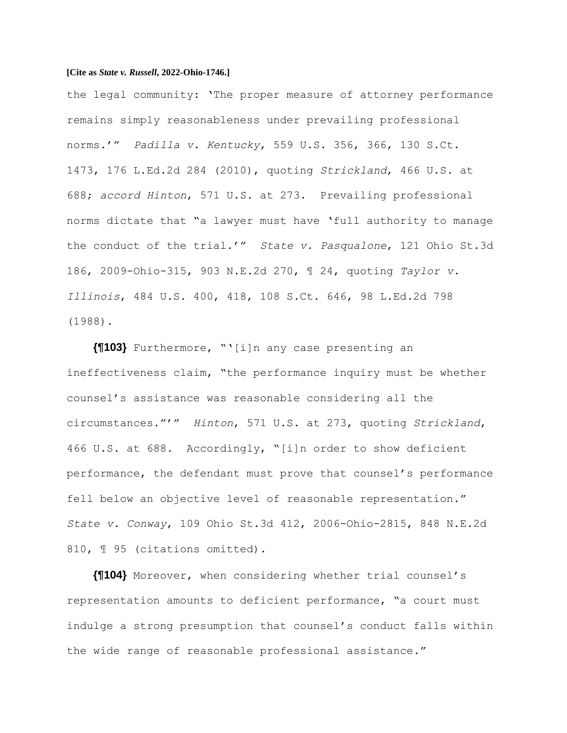the legal community: 'The proper measure of attorney performance remains simply reasonableness under prevailing professional norms.'" *Padilla v. Kentucky*, 559 U.S. 356, 366, 130 S.Ct. 1473, 176 L.Ed.2d 284 (2010), quoting *Strickland*, 466 U.S. at 688; *accord Hinton*, 571 U.S. at 273. Prevailing professional norms dictate that "a lawyer must have 'full authority to manage the conduct of the trial.'" *State v. Pasqualone*, 121 Ohio St.3d 186, 2009-Ohio-315, 903 N.E.2d 270, ¶ 24, quoting *Taylor v. Illinois*, 484 U.S. 400, 418, 108 S.Ct. 646, 98 L.Ed.2d 798 (1988).

**{¶103}** Furthermore, "'[i]n any case presenting an ineffectiveness claim, "the performance inquiry must be whether counsel's assistance was reasonable considering all the circumstances."'" *Hinton*, 571 U.S. at 273, quoting *Strickland*, 466 U.S. at 688. Accordingly, "[i]n order to show deficient performance, the defendant must prove that counsel's performance fell below an objective level of reasonable representation." *State v. Conway*, 109 Ohio St.3d 412, 2006-Ohio-2815, 848 N.E.2d 810,  $\text{\texttt{I}}$  95 (citations omitted).

**{¶104}** Moreover, when considering whether trial counsel's representation amounts to deficient performance, "a court must indulge a strong presumption that counsel's conduct falls within the wide range of reasonable professional assistance."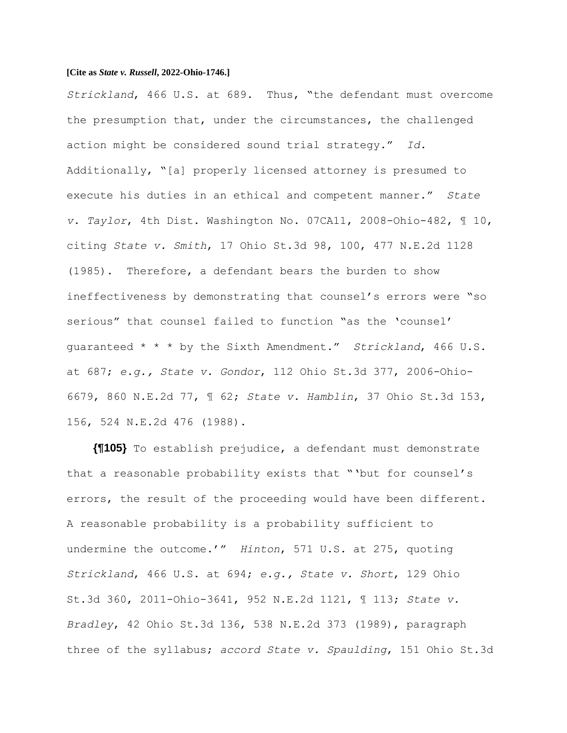*Strickland*, 466 U.S. at 689. Thus, "the defendant must overcome the presumption that, under the circumstances, the challenged action might be considered sound trial strategy." *Id.* Additionally, "[a] properly licensed attorney is presumed to execute his duties in an ethical and competent manner." *State v. Taylor*, 4th Dist. Washington No. 07CA11, 2008-Ohio-482, ¶ 10, citing *State v. Smith*, 17 Ohio St.3d 98, 100, 477 N.E.2d 1128 (1985). Therefore, a defendant bears the burden to show ineffectiveness by demonstrating that counsel's errors were "so serious" that counsel failed to function "as the 'counsel' guaranteed \* \* \* by the Sixth Amendment." *Strickland*, 466 U.S. at 687; *e.g., State v. Gondor*, 112 Ohio St.3d 377, 2006-Ohio-6679, 860 N.E.2d 77, ¶ 62; *State v. Hamblin*, 37 Ohio St.3d 153, 156, 524 N.E.2d 476 (1988).

**{¶105}** To establish prejudice, a defendant must demonstrate that a reasonable probability exists that "'but for counsel's errors, the result of the proceeding would have been different. A reasonable probability is a probability sufficient to undermine the outcome.'" *Hinton*, 571 U.S. at 275, quoting *Strickland*, 466 U.S. at 694; *e.g., State v. Short*, 129 Ohio St.3d 360, 2011-Ohio-3641, 952 N.E.2d 1121, ¶ 113; *State v. Bradley*, 42 Ohio St.3d 136, 538 N.E.2d 373 (1989), paragraph three of the syllabus; *accord State v. Spaulding*, 151 Ohio St.3d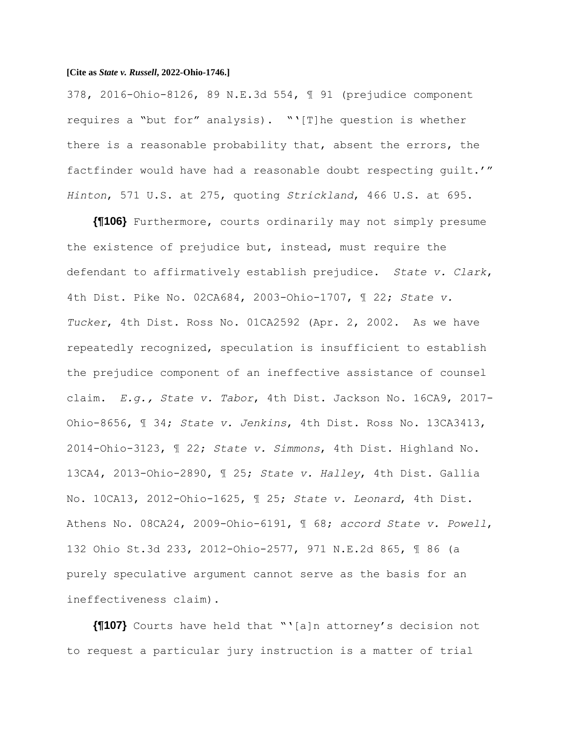378, 2016-Ohio-8126, 89 N.E.3d 554, ¶ 91 (prejudice component requires a "but for" analysis). "'[T]he question is whether there is a reasonable probability that, absent the errors, the factfinder would have had a reasonable doubt respecting guilt.'" *Hinton*, 571 U.S. at 275, quoting *Strickland*, 466 U.S. at 695.

**{¶106}** Furthermore, courts ordinarily may not simply presume the existence of prejudice but, instead, must require the defendant to affirmatively establish prejudice. *State v. Clark*, 4th Dist. Pike No. 02CA684, 2003-Ohio-1707, ¶ 22; *State v. Tucker*, 4th Dist. Ross No. 01CA2592 (Apr. 2, 2002. As we have repeatedly recognized, speculation is insufficient to establish the prejudice component of an ineffective assistance of counsel claim. *E.g., State v. Tabor*, 4th Dist. Jackson No. 16CA9, 2017- Ohio-8656, ¶ 34; *State v. Jenkins*, 4th Dist. Ross No. 13CA3413, 2014-Ohio-3123, ¶ 22; *State v. Simmons*, 4th Dist. Highland No. 13CA4, 2013-Ohio-2890, ¶ 25; *State v. Halley*, 4th Dist. Gallia No. 10CA13, 2012-Ohio-1625, ¶ 25; *State v. Leonard*, 4th Dist. Athens No. 08CA24, 2009-Ohio-6191, ¶ 68; *accord State v. Powell*, 132 Ohio St.3d 233, 2012-Ohio-2577, 971 N.E.2d 865, ¶ 86 (a purely speculative argument cannot serve as the basis for an ineffectiveness claim).

**{¶107}** Courts have held that "'[a]n attorney's decision not to request a particular jury instruction is a matter of trial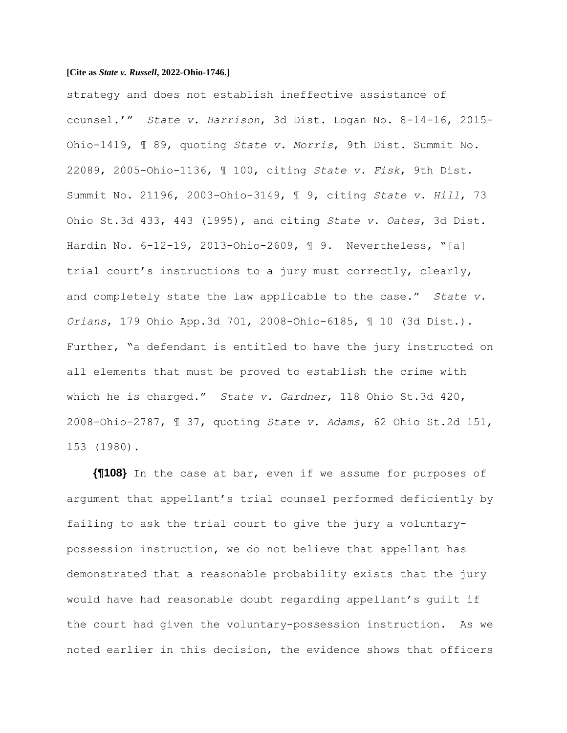strategy and does not establish ineffective assistance of counsel.'" *State v. Harrison*, 3d Dist. Logan No. 8-14-16, 2015- Ohio-1419, ¶ 89, quoting *State v. Morris*, 9th Dist. Summit No. 22089, 2005-Ohio-1136, ¶ 100, citing *State v. Fisk*, 9th Dist. Summit No. 21196, 2003-Ohio-3149, ¶ 9, citing *State v. Hill*, 73 Ohio St.3d 433, 443 (1995), and citing *State v. Oates*, 3d Dist. Hardin No. 6-12-19, 2013-Ohio-2609, ¶ 9. Nevertheless, "[a] trial court's instructions to a jury must correctly, clearly, and completely state the law applicable to the case." *State v. Orians*, 179 Ohio App.3d 701, 2008-Ohio-6185, ¶ 10 (3d Dist.). Further, "a defendant is entitled to have the jury instructed on all elements that must be proved to establish the crime with which he is charged." *State v. Gardner*, 118 Ohio St.3d 420, 2008-Ohio-2787, ¶ 37, quoting *State v. Adams*, 62 Ohio St.2d 151, 153 (1980).

**{¶108}** In the case at bar, even if we assume for purposes of argument that appellant's trial counsel performed deficiently by failing to ask the trial court to give the jury a voluntarypossession instruction, we do not believe that appellant has demonstrated that a reasonable probability exists that the jury would have had reasonable doubt regarding appellant's guilt if the court had given the voluntary-possession instruction. As we noted earlier in this decision, the evidence shows that officers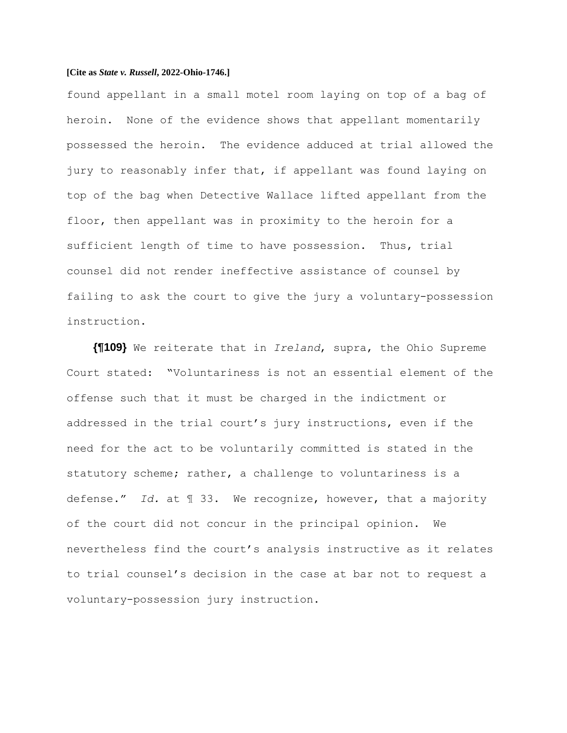found appellant in a small motel room laying on top of a bag of heroin. None of the evidence shows that appellant momentarily possessed the heroin. The evidence adduced at trial allowed the jury to reasonably infer that, if appellant was found laying on top of the bag when Detective Wallace lifted appellant from the floor, then appellant was in proximity to the heroin for a sufficient length of time to have possession. Thus, trial counsel did not render ineffective assistance of counsel by failing to ask the court to give the jury a voluntary-possession instruction.

**{¶109}** We reiterate that in *Ireland*, supra, the Ohio Supreme Court stated: "Voluntariness is not an essential element of the offense such that it must be charged in the indictment or addressed in the trial court's jury instructions, even if the need for the act to be voluntarily committed is stated in the statutory scheme; rather, a challenge to voluntariness is a defense." *Id.* at ¶ 33. We recognize, however, that a majority of the court did not concur in the principal opinion. We nevertheless find the court's analysis instructive as it relates to trial counsel's decision in the case at bar not to request a voluntary-possession jury instruction.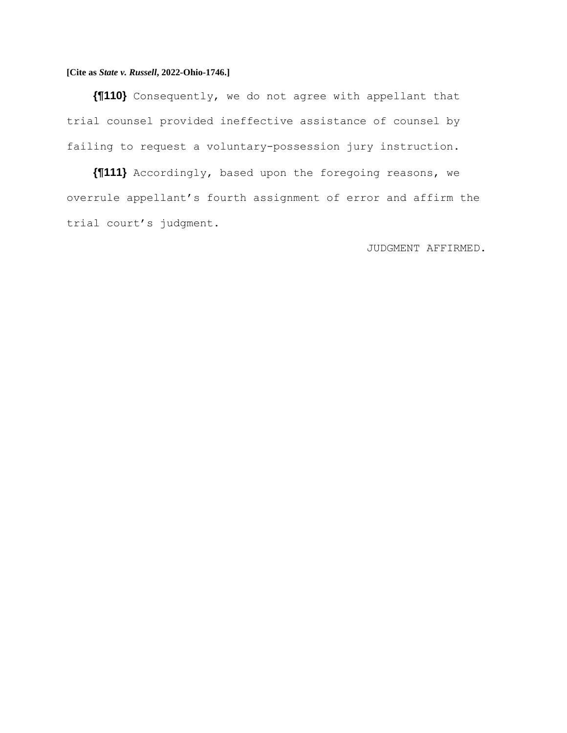**{¶110}** Consequently, we do not agree with appellant that trial counsel provided ineffective assistance of counsel by failing to request a voluntary-possession jury instruction.

**{¶111}** Accordingly, based upon the foregoing reasons, we overrule appellant's fourth assignment of error and affirm the trial court's judgment.

JUDGMENT AFFIRMED.